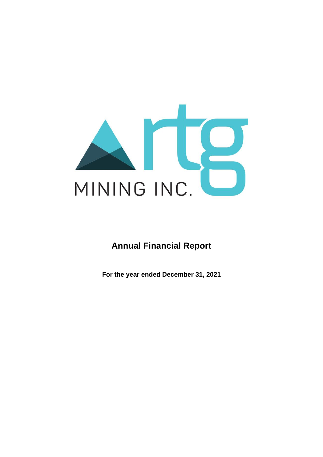

## **Annual Financial Report**

**For the year ended December 31, 2021**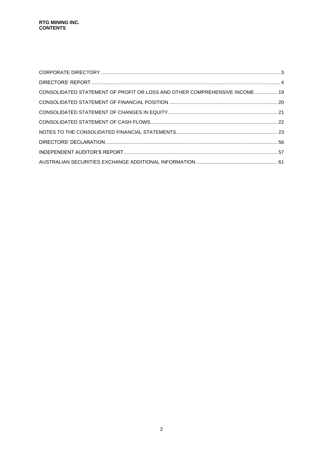| CONSOLIDATED STATEMENT OF PROFIT OR LOSS AND OTHER COMPREHENSIVE INCOME 19 |  |
|----------------------------------------------------------------------------|--|
|                                                                            |  |
|                                                                            |  |
|                                                                            |  |
|                                                                            |  |
|                                                                            |  |
|                                                                            |  |
|                                                                            |  |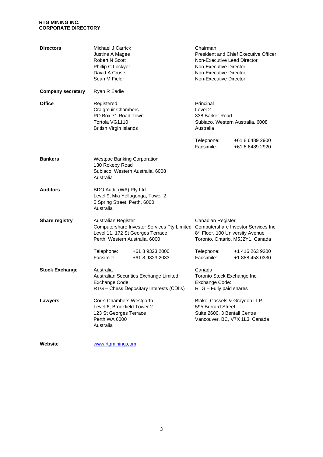## **RTG MINING INC. CORPORATE DIRECTORY**

| <b>Directors</b>         | Michael J Carrick<br>Justine A Magee<br><b>Robert N Scott</b><br>Phillip C Lockyer<br>David A Cruse<br>Sean M Fieler     |                                                                                  | Chairman<br><b>President and Chief Executive Officer</b><br>Non-Executive Lead Director<br>Non-Executive Director<br>Non-Executive Director<br>Non-Executive Director |                                    |  |
|--------------------------|--------------------------------------------------------------------------------------------------------------------------|----------------------------------------------------------------------------------|-----------------------------------------------------------------------------------------------------------------------------------------------------------------------|------------------------------------|--|
| <b>Company secretary</b> | Ryan R Eadie                                                                                                             |                                                                                  |                                                                                                                                                                       |                                    |  |
| <b>Office</b>            | <b>Registered</b><br><b>Craigmuir Chambers</b><br>PO Box 71 Road Town<br>Tortola VG1110<br><b>British Virgin Islands</b> |                                                                                  | <b>Principal</b><br>Level 2<br>338 Barker Road<br>Subiaco, Western Australia, 6008<br>Australia                                                                       |                                    |  |
|                          |                                                                                                                          |                                                                                  | Telephone:<br>Facsimile:                                                                                                                                              | +61 8 6489 2900<br>+61 8 6489 2920 |  |
| <b>Bankers</b>           | <b>Westpac Banking Corporation</b><br>130 Rokeby Road<br>Subiaco, Western Australia, 6008<br>Australia                   |                                                                                  |                                                                                                                                                                       |                                    |  |
| <b>Auditors</b>          | BDO Audit (WA) Pty Ltd<br>Level 9, Mia Yellagonga, Tower 2<br>5 Spring Street, Perth, 6000<br>Australia                  |                                                                                  |                                                                                                                                                                       |                                    |  |
| <b>Share registry</b>    | <b>Australian Register</b><br>Level 11, 172 St Georges Terrace<br>Perth, Western Australia, 6000                         | Computershare Investor Services Pty Limited Computershare Investor Services Inc. | <b>Canadian Register</b><br>8 <sup>th</sup> Floor, 100 University Avenue                                                                                              | Toronto, Ontario, M5J2Y1, Canada   |  |
|                          | Telephone:<br>Facsimile:                                                                                                 | +61 8 9323 2000<br>+61 8 9323 2033                                               | Telephone:<br>Facsimile:                                                                                                                                              | +1 416 263 9200<br>+1 888 453 0330 |  |
| <b>Stock Exchange</b>    | <b>Australia</b><br>Australian Securities Exchange Limited<br>Exchange Code:<br>RTG - Chess Depositary Interests (CDI's) |                                                                                  | Canada<br>Toronto Stock Exchange Inc.<br>Exchange Code:<br>RTG - Fully paid shares                                                                                    |                                    |  |
| Lawyers                  | Corrs Chambers Westgarth<br>Level 6, Brookfield Tower 2<br>123 St Georges Terrace<br>Perth WA 6000<br>Australia          |                                                                                  | Blake, Cassels & Graydon LLP<br>595 Burrard Street<br>Suite 2600, 3 Bentall Centre<br>Vancouver, BC, V7X 1L3, Canada                                                  |                                    |  |
| Website                  | www.rtgmining.com                                                                                                        |                                                                                  |                                                                                                                                                                       |                                    |  |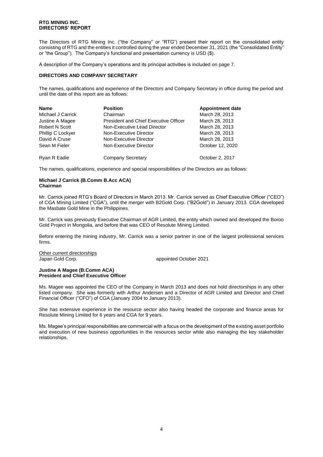The Directors of RTG Mining Inc. ("the Company" or "RTG") present their report on the consolidated entity consisting of RTG and the entities it controlled during the year ended December 31, 2021 (the "Consolidated Entity" or "the Group"). The Company's functional and presentation currency is USD (\$).

A description of the Company's operations and its principal activities is included on page 7.

## **DIRECTORS AND COMPANY SECRETARY**

The names, qualifications and experience of the Directors and Company Secretary in office during the period and until the date of this report are as follows:

| <b>Name</b>           | <b>Position</b>                              | <b>Appointment date</b> |
|-----------------------|----------------------------------------------|-------------------------|
| Michael J Carrick     | Chairman                                     | March 28, 2013          |
| Justine A Magee       | <b>President and Chief Executive Officer</b> | March 28, 2013          |
| <b>Robert N Scott</b> | Non-Executive Lead Director                  | March 28, 2013          |
| Phillip C Lockyer     | Non-Executive Director                       | March 28, 2013          |
| David A Cruse         | Non-Executive Director                       | March 28, 2013          |
| Sean M Fieler         | Non-Executive Director                       | October 12, 2020        |
| Ryan R Eadie          | <b>Company Secretary</b>                     | October 2, 2017         |

The names, qualifications, experience and special responsibilities of the Directors are as follows:

## **Michael J Carrick (B.Comm B.Acc ACA) Chairman**

Mr. Carrick joined RTG's Board of Directors in March 2013. Mr. Carrick served as Chief Executive Officer ("CEO") of CGA Mining Limited ("CGA"), until the merger with B2Gold Corp. ("B2Gold") in January 2013. CGA developed the Masbate Gold Mine in the Philippines.

Mr. Carrick was previously Executive Chairman of AGR Limited, the entity which owned and developed the Boroo Gold Project in Mongolia, and before that was CEO of Resolute Mining Limited.

Before entering the mining industry, Mr. Carrick was a senior partner in one of the largest professional services firms.

Other current directorships Japan Gold Corp. **All approximates** appointed October 2021

#### **Justine A Magee (B.Comm ACA) President and Chief Executive Officer**

Ms. Magee was appointed the CEO of the Company in March 2013 and does not hold directorships in any other listed company. She was formerly with Arthur Andersen and a Director of AGR Limited and Director and Chief Financial Officer ("CFO") of CGA (January 2004 to January 2013).

She has extensive experience in the resource sector also having headed the corporate and finance areas for Resolute Mining Limited for 6 years and CGA for 9 years.

Ms. Magee's principal responsibilities are commercial with a focus on the development of the existing asset portfolio and execution of new business opportunities in the resources sector while also managing the key stakeholder relationships.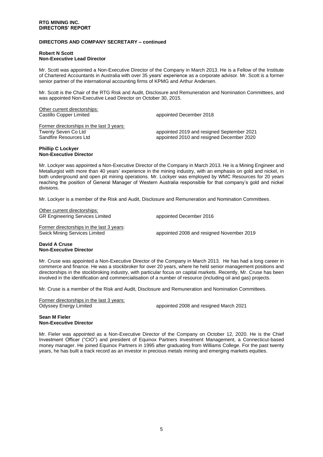## **DIRECTORS AND COMPANY SECRETARY – continued**

## **Robert N Scott Non-Executive Lead Director**

Mr. Scott was appointed a Non-Executive Director of the Company in March 2013. He is a Fellow of the Institute of Chartered Accountants in Australia with over 35 years' experience as a corporate advisor. Mr. Scott is a former senior partner of the international accounting firms of KPMG and Arthur Andersen.

Mr. Scott is the Chair of the RTG Risk and Audit, Disclosure and Remuneration and Nomination Committees, and was appointed Non-Executive Lead Director on October 30, 2015.

| Other current directorships:<br>Castillo Copper Limited                                    | appointed December 2018                                                                 |
|--------------------------------------------------------------------------------------------|-----------------------------------------------------------------------------------------|
| Former directorships in the last 3 years:<br>Twenty Seven Co Ltd<br>Sandfire Resources Ltd | appointed 2019 and resigned September 2021<br>appointed 2010 and resigned December 2020 |

#### **Phillip C Lockyer Non-Executive Director**

Mr. Lockyer was appointed a Non-Executive Director of the Company in March 2013. He is a Mining Engineer and Metallurgist with more than 40 years' experience in the mining industry, with an emphasis on gold and nickel, in both underground and open pit mining operations. Mr. Lockyer was employed by WMC Resources for 20 years reaching the position of General Manager of Western Australia responsible for that company's gold and nickel divisions.

Mr. Lockyer is a member of the Risk and Audit, Disclosure and Remuneration and Nomination Committees.

Other current directorships: GR Engineering Services Limited **appointed December 2016** 

Former directorships in the last 3 years:

Swick Mining Services Limited appointed 2008 and resigned November 2019

## **David A Cruse Non-Executive Director**

Mr. Cruse was appointed a Non-Executive Director of the Company in March 2013. He has had a long career in commerce and finance. He was a stockbroker for over 20 years, where he held senior management positions and directorships in the stockbroking industry, with particular focus on capital markets. Recently, Mr. Cruse has been involved in the identification and commercialisation of a number of resource (including oil and gas) projects.

Mr. Cruse is a member of the Risk and Audit, Disclosure and Remuneration and Nomination Committees.

Former directorships in the last 3 years: Odyssey Energy Limited appointed 2008 and resigned March 2021

## **Sean M Fieler Non-Executive Director**

Mr. Fieler was appointed as a Non-Executive Director of the Company on October 12, 2020. He is the Chief Investment Officer ("CIO") and president of Equinox Partners Investment Management, a Connecticut-based money manager. He joined Equinox Partners in 1995 after graduating from Williams College. For the past twenty years, he has built a track record as an investor in precious metals mining and emerging markets equities.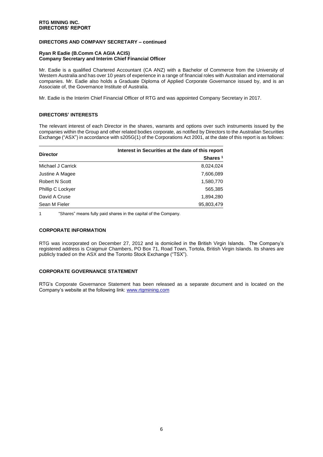## **DIRECTORS AND COMPANY SECRETARY – continued**

## **Ryan R Eadie (B.Comm CA AGIA ACIS) Company Secretary and Interim Chief Financial Officer**

Mr. Eadie is a qualified Chartered Accountant (CA ANZ) with a Bachelor of Commerce from the University of Western Australia and has over 10 years of experience in a range of financial roles with Australian and international companies. Mr. Eadie also holds a Graduate Diploma of Applied Corporate Governance issued by, and is an Associate of, the Governance Institute of Australia.

Mr. Eadie is the Interim Chief Financial Officer of RTG and was appointed Company Secretary in 2017.

## **DIRECTORS' INTERESTS**

The relevant interest of each Director in the shares, warrants and options over such instruments issued by the companies within the Group and other related bodies corporate, as notified by Directors to the Australian Securities Exchange ("ASX") in accordance with s205G(1) of the Corporations Act 2001, at the date of this report is as follows:

|                       | Interest in Securities at the date of this report |
|-----------------------|---------------------------------------------------|
| <b>Director</b>       | Shares <sup>1</sup>                               |
| Michael J Carrick     | 8,024,024                                         |
| Justine A Magee       | 7,606,089                                         |
| <b>Robert N Scott</b> | 1,580,770                                         |
| Phillip C Lockyer     | 565,385                                           |
| David A Cruse         | 1.894.280                                         |
| Sean M Fieler         | 95,803,479                                        |

1 "Shares" means fully paid shares in the capital of the Company.

## **CORPORATE INFORMATION**

RTG was incorporated on December 27, 2012 and is domiciled in the British Virgin Islands. The Company's registered address is Craigmuir Chambers, PO Box 71, Road Town, Tortola, British Virgin Islands. Its shares are publicly traded on the ASX and the Toronto Stock Exchange ("TSX").

## **CORPORATE GOVERNANCE STATEMENT**

RTG's Corporate Governance Statement has been released as a separate document and is located on the Company's website at the following link: [www.rtgmining.com](http://www.rtgmining.com/)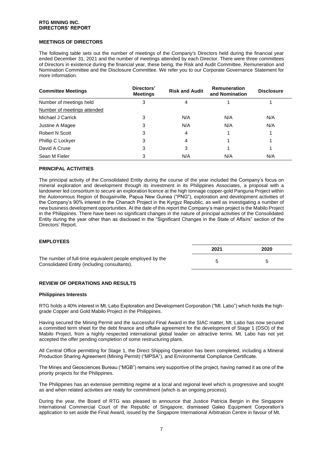## **MEETINGS OF DIRECTORS**

The following table sets out the number of meetings of the Company's Directors held during the financial year ended December 31, 2021 and the number of meetings attended by each Director. There were three committees of Directors in existence during the financial year, these being, the Risk and Audit Committee, Remuneration and Nomination Committee and the Disclosure Committee. We refer you to our Corporate Governance Statement for more information.

| <b>Committee Meetings</b>   | Directors'<br><b>Meetings</b> | <b>Risk and Audit</b> | <b>Remuneration</b><br>and Nomination | <b>Disclosure</b> |
|-----------------------------|-------------------------------|-----------------------|---------------------------------------|-------------------|
| Number of meetings held     | 3                             |                       |                                       |                   |
| Number of meetings attended |                               |                       |                                       |                   |
| Michael J Carrick           | 3                             | N/A                   | N/A                                   | N/A               |
| Justine A Magee             | 3                             | N/A                   | N/A                                   | N/A               |
| <b>Robert N Scott</b>       | 3                             | 4                     |                                       |                   |
| Phillip C Lockyer           | 3                             | 4                     |                                       |                   |
| David A Cruse               | 3                             | 3                     |                                       |                   |
| Sean M Fieler               | 3                             | N/A                   | N/A                                   | N/A               |

## **PRINCIPAL ACTIVITIES**

The principal activity of the Consolidated Entity during the course of the year included the Company's focus on mineral exploration and development through its investment in its Philippines Associates, a proposal with a landowner led consortium to secure an exploration licence at the high tonnage copper-gold Panguna Project within the Autonomous Region of Bougainville, Papua New Guinea ("PNG"), exploration and development activities of the Company's 90% interest in the Chanach Project in the Kyrgyz Republic, as well as investigating a number of new business development opportunities. At the date of this report the Company's main project is the Mabilo Project in the Philippines. There have been no significant changes in the nature of principal activities of the Consolidated Entity during the year other than as disclosed in the "Significant Changes in the State of Affairs" section of the Directors' Report.

## **EMPLOYEES**

|                                                                                                           | 2021 | 2020 |
|-----------------------------------------------------------------------------------------------------------|------|------|
| The number of full-time equivalent people employed by the<br>Consolidated Entity (including consultants). |      |      |

## **REVIEW OF OPERATIONS AND RESULTS**

#### **Philippines Interests**

RTG holds a 40% interest in Mt. Labo Exploration and Development Corporation ("Mt. Labo") which holds the highgrade Copper and Gold Mabilo Project in the Philippines.

Having secured the Mining Permit and the successful Final Award in the SIAC matter, Mt. Labo has now secured a committed term sheet for the debt finance and offtake agreement for the development of Stage 1 (DSO) of the Mabilo Project, from a highly respected international global leader on attractive terms. Mt. Labo has not yet accepted the offer pending completion of some restructuring plans.

All Central Office permitting for Stage 1, the Direct Shipping Operation has been completed, including a Mineral Production Sharing Agreement (Mining Permit) ("MPSA"), and Environmental Compliance Certificate.

The Mines and Geosciences Bureau ("MGB") remains very supportive of the project, having named it as one of the priority projects for the Philippines.

The Philippines has an extensive permitting regime at a local and regional level which is progressive and sought as and when related activities are ready for commitment (which is an ongoing process).

During the year, the Board of RTG was pleased to announce that Justice Patricia Bergin in the Singapore International Commercial Court of the Republic of Singapore, dismissed Galeo Equipment Corporation's application to set aside the Final Award, issued by the Singapore International Arbitration Centre in favour of Mt.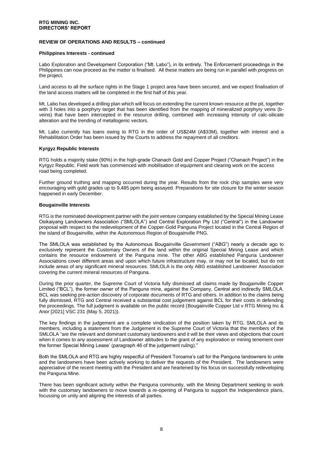## **REVIEW OF OPERATIONS AND RESULTS – continued**

#### **Philippines Interests - continued**

Labo Exploration and Development Corporation ("Mt. Labo"), in its entirety. The Enforcement proceedings in the Philippines can now proceed as the matter is finalised. All these matters are being run in parallel with progress on the project.

Land access to all the surface rights in the Stage 1 project area have been secured, and we expect finalisation of the land access matters will be completed in the first half of this year.

Mt. Labo has developed a drilling plan which will focus on extending the current known resource at the pit, together with 3 holes into a porphyry target that has been identified from the mapping of mineralized porphyry veins (bveins) that have been intercepted in the resource drilling, combined with increasing intensity of calc-silicate alteration and the trending of metallogenic vectors.

Mt. Labo currently has loans owing to RTG in the order of US\$24M (A\$33M), together with interest and a Rehabilitation Order has been issued by the Courts to address the repayment of all creditors.

#### **Kyrgyz Republic Interests**

RTG holds a majority stake (90%) in the high-grade Chanach Gold and Copper Project ("Chanach Project") in the Kyrgyz Republic. Field work has commenced with mobilisation of equipment and clearing work on the access road being completed.

Further ground truthing and mapping occurred during the year. Results from the rock chip samples were very encouraging with gold grades up to 9,485 ppm being assayed. Preparations for site closure for the winter season happened in early December.

## **Bougainville Interests**

RTG is the nominated development partner with the joint venture company established by the Special Mining Lease Osikaiyang Landowners Association ("SMLOLA") and Central Exploration Pty Ltd ("Central") in the Landowner proposal with respect to the redevelopment of the Copper-Gold Panguna Project located in the Central Region of the island of Bougainville, within the Autonomous Region of Bougainville PNG.

The SMLOLA was established by the Autonomous Bougainville Government ("ABG") nearly a decade ago to exclusively represent the Customary Owners of the land within the original Special Mining Lease and which contains the resource endowment of the Panguna mine. The other ABG established Panguna Landowner Associations cover different areas and upon which future infrastructure may, or may not be located, but do not include areas of any significant mineral resources. SMLOLA is the only ABG established Landowner Association covering the current mineral resources of Panguna.

During the prior quarter, the Supreme Court of Victoria fully dismissed all claims made by Bougainville Copper Limited ("BCL"), the former owner of the Panguna mine, against the Company, Central and indirectly SMLOLA. BCL was seeking pre-action discovery of corporate documents of RTG and others. In addition to the claims being fully dismissed. RTG and Central received a substantial cost judgement against BCL for their costs in defending the proceedings. The full judgment is available on the public record [\(Bougainville Copper Ltd v RTG Mining Inc &](https://aucc.sirsidynix.net.au/Judgments/VSC/2021/T0231.pdf)  [Anor \[2021\] VSC 231](https://aucc.sirsidynix.net.au/Judgments/VSC/2021/T0231.pdf) (May 5, 2021)).

The key findings in the judgement are a complete vindication of the position taken by RTG, SMLOLA and its members, including a statement from the Judgement in the Supreme Court of Victoria that the members of the SMLOLA "are the relevant and dominant customary landowners and it will be their views and objections that count when it comes to any assessment of Landowner attitudes to the grant of any exploration or mining tenement over the former Special Mining Lease' (paragraph 46 of the judgement ruling)."

Both the SMLOLA and RTG are highly respectful of President Toroama's call for the Panguna landowners to unite and the landowners have been actively working to deliver the requests of the President. The landowners were appreciative of the recent meeting with the President and are heartened by his focus on successfully redeveloping the Panguna Mine.

There has been significant activity within the Panguna community, with the Mining Department seeking to work with the customary landowners to move towards a re-opening of Panguna to support the Independence plans. focussing on unity and aligning the interests of all parties.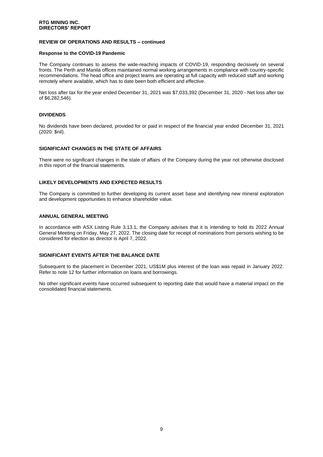## **REVIEW OF OPERATIONS AND RESULTS – continued**

#### **Response to the COVID-19 Pandemic**

The Company continues to assess the wide-reaching impacts of COVID-19, responding decisively on several fronts. The Perth and Manila offices maintained normal working arrangements in compliance with country-specific recommendations. The head office and project teams are operating at full capacity with reduced staff and working remotely where available, which has to date been both efficient and effective.

Net loss after tax for the year ended December 31, 2021 was \$7,033,392 (December 31, 2020 - Net loss after tax of \$6,282,546).

## **DIVIDENDS**

No dividends have been declared, provided for or paid in respect of the financial year ended December 31, 2021 (2020: \$nil).

#### **SIGNIFICANT CHANGES IN THE STATE OF AFFAIRS**

There were no significant changes in the state of affairs of the Company during the year not otherwise disclosed in this report of the financial statements.

## **LIKELY DEVELOPMENTS AND EXPECTED RESULTS**

The Company is committed to further developing its current asset base and identifying new mineral exploration and development opportunities to enhance shareholder value.

#### **ANNUAL GENERAL MEETING**

In accordance with ASX Listing Rule 3.13.1, the Company advises that it is intending to hold its 2022 Annual General Meeting on Friday, May 27, 2022. The closing date for receipt of nominations from persons wishing to be considered for election as director is April 7, 2022.

## **SIGNIFICANT EVENTS AFTER THE BALANCE DATE**

Subsequent to the placement in December 2021, US\$1M plus interest of the loan was repaid in January 2022. Refer to note 12 for further information on loans and borrowings.

No other significant events have occurred subsequent to reporting date that would have a material impact on the consolidated financial statements.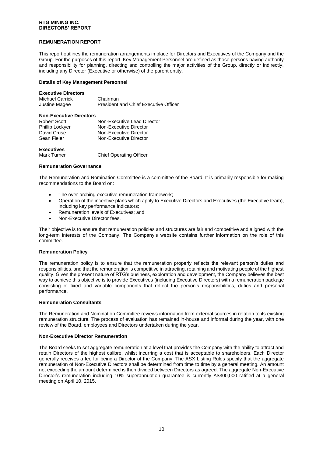## **REMUNERATION REPORT**

This report outlines the remuneration arrangements in place for Directors and Executives of the Company and the Group. For the purposes of this report, Key Management Personnel are defined as those persons having authority and responsibility for planning, directing and controlling the major activities of the Group, directly or indirectly, including any Director (Executive or otherwise) of the parent entity.

#### **Details of Key Management Personnel**

| <b>Executive Directors</b> |                                              |
|----------------------------|----------------------------------------------|
| Michael Carrick            | Chairman                                     |
| Justine Magee              | <b>President and Chief Executive Officer</b> |

## **Non-Executive Directors**

| Robert Scott           | Non-Executive Lead Director |
|------------------------|-----------------------------|
| <b>Phillip Lockyer</b> | Non-Executive Director      |
| David Cruse            | Non-Executive Director      |
| Sean Fieler            | Non-Executive Director      |
|                        |                             |

## **Executives**

Mark Turner Chief Operating Officer

#### **Remuneration Governance**

The Remuneration and Nomination Committee is a committee of the Board. It is primarily responsible for making recommendations to the Board on:

- The over-arching executive remuneration framework;
- Operation of the incentive plans which apply to Executive Directors and Executives (the Executive team), including key performance indicators;
- Remuneration levels of Executives; and
- Non-Executive Director fees.

Their objective is to ensure that remuneration policies and structures are fair and competitive and aligned with the long-term interests of the Company. The Company's website contains further information on the role of this committee.

## **Remuneration Policy**

The remuneration policy is to ensure that the remuneration properly reflects the relevant person's duties and responsibilities, and that the remuneration is competitive in attracting, retaining and motivating people of the highest quality. Given the present nature of RTG's business, exploration and development, the Company believes the best way to achieve this objective is to provide Executives (including Executive Directors) with a remuneration package consisting of fixed and variable components that reflect the person's responsibilities, duties and personal performance.

## **Remuneration Consultants**

The Remuneration and Nomination Committee reviews information from external sources in relation to its existing remuneration structure. The process of evaluation has remained in-house and informal during the year, with one review of the Board, employees and Directors undertaken during the year.

## **Non-Executive Director Remuneration**

The Board seeks to set aggregate remuneration at a level that provides the Company with the ability to attract and retain Directors of the highest calibre, whilst incurring a cost that is acceptable to shareholders. Each Director generally receives a fee for being a Director of the Company. The ASX Listing Rules specify that the aggregate remuneration of Non-Executive Directors shall be determined from time to time by a general meeting. An amount not exceeding the amount determined is then divided between Directors as agreed. The aggregate Non-Executive Director's remuneration including 10% superannuation guarantee is currently A\$300,000 ratified at a general meeting on April 10, 2015.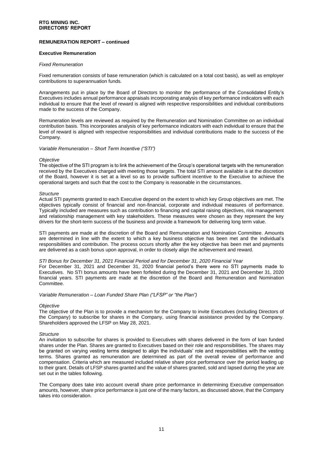## **REMUNERATION REPORT – continued**

#### **Executive Remuneration**

## *Fixed Remuneration*

Fixed remuneration consists of base remuneration (which is calculated on a total cost basis), as well as employer contributions to superannuation funds.

Arrangements put in place by the Board of Directors to monitor the performance of the Consolidated Entity's Executives includes annual performance appraisals incorporating analysis of key performance indicators with each individual to ensure that the level of reward is aligned with respective responsibilities and individual contributions made to the success of the Company.

Remuneration levels are reviewed as required by the Remuneration and Nomination Committee on an individual contribution basis. This incorporates analysis of key performance indicators with each individual to ensure that the level of reward is aligned with respective responsibilities and individual contributions made to the success of the Company.

#### *Variable Remuneration – Short Term Incentive ("STI")*

#### *Objective*

The objective of the STI program is to link the achievement of the Group's operational targets with the remuneration received by the Executives charged with meeting those targets. The total STI amount available is at the discretion of the Board, however it is set at a level so as to provide sufficient incentive to the Executive to achieve the operational targets and such that the cost to the Company is reasonable in the circumstances.

#### *Structure*

Actual STI payments granted to each Executive depend on the extent to which key Group objectives are met. The objectives typically consist of financial and non-financial, corporate and individual measures of performance. Typically included are measures such as contribution to financing and capital raising objectives, risk management and relationship management with key stakeholders. These measures were chosen as they represent the key drivers for the short-term success of the business and provide a framework for delivering long term value.

STI payments are made at the discretion of the Board and Remuneration and Nomination Committee. Amounts are determined in line with the extent to which a key business objective has been met and the individual's responsibilities and contribution. The process occurs shortly after the key objective has been met and payments are delivered as a cash bonus upon approval, in order to closely align the achievement and reward.

## *STI Bonus for December 31, 2021 Financial Period and for December 31, 2020 Financial Year*

For December 31, 2021 and December 31, 2020 financial period's there were no STI payments made to Executives. No STI bonus amounts have been forfeited during the December 31, 2021 and December 31, 2020 financial years. STI payments are made at the discretion of the Board and Remuneration and Nomination Committee.

*Variable Remuneration – Loan Funded Share Plan ("LFSP" or "the Plan")*

#### *Objective*

The objective of the Plan is to provide a mechanism for the Company to invite Executives (including Directors of the Company) to subscribe for shares in the Company, using financial assistance provided by the Company. Shareholders approved the LFSP on May 28, 2021.

#### *Structure*

An invitation to subscribe for shares is provided to Executives with shares delivered in the form of loan funded shares under the Plan. Shares are granted to Executives based on their role and responsibilities. The shares may be granted on varying vesting terms designed to align the individuals' role and responsibilities with the vesting terms. Shares granted as remuneration are determined as part of the overall review of performance and compensation. Criteria which are measured included relative share price performance over the period leading up to their grant. Details of LFSP shares granted and the value of shares granted, sold and lapsed during the year are set out in the tables following.

The Company does take into account overall share price performance in determining Executive compensation amounts, however, share price performance is just one of the many factors, as discussed above, that the Company takes into consideration.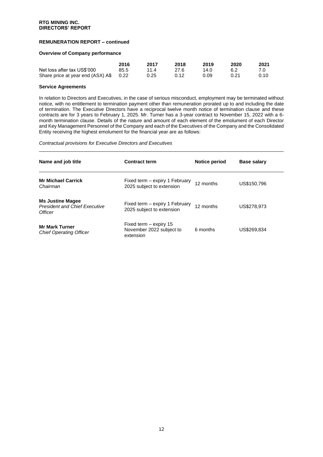## **REMUNERATION REPORT – continued**

## **Overview of Company performance**

|                                        | 2016 | 2017 | 2018 | 2019 | 2020 | 2021 |
|----------------------------------------|------|------|------|------|------|------|
| Net loss after tax US\$'000            | 85.5 | 114  | 27.6 | 14.0 | 6.2  |      |
| Share price at year end (ASX) A\$ 0.22 |      | 0.25 | 0.12 | 0.09 | 0.21 | 0.10 |

## **Service Agreements**

In relation to Directors and Executives, in the case of serious misconduct, employment may be terminated without notice, with no entitlement to termination payment other than remuneration prorated up to and including the date of termination. The Executive Directors have a reciprocal twelve month notice of termination clause and these contracts are for 3 years to February 1, 2025. Mr. Turner has a 3-year contract to November 15, 2022 with a 6 month termination clause. Details of the nature and amount of each element of the emolument of each Director and Key Management Personnel of the Company and each of the Executives of the Company and the Consolidated Entity receiving the highest emolument for the financial year are as follows:

*Contractual provisions for Executive Directors and Executives*

| Name and job title                                                         | <b>Contract term</b>                                            | Notice period | <b>Base salary</b> |
|----------------------------------------------------------------------------|-----------------------------------------------------------------|---------------|--------------------|
| <b>Mr Michael Carrick</b><br>Chairman                                      | Fixed term – expiry 1 February<br>2025 subject to extension     | 12 months     | US\$150.796        |
| <b>Ms Justine Magee</b><br><b>President and Chief Executive</b><br>Officer | Fixed term – expiry 1 February<br>2025 subject to extension     | 12 months     | US\$278,973        |
| <b>Mr Mark Turner</b><br><b>Chief Operating Officer</b>                    | Fixed term – expiry 15<br>November 2022 subject to<br>extension | 6 months      | US\$269,834        |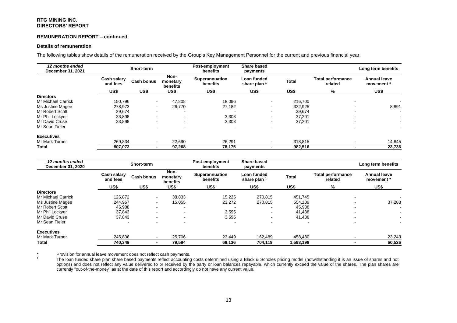## **REMUNERATION REPORT – continued**

## **Details of remuneration**

The following tables show details of the remuneration received by the Group's Key Management Personnel for the current and previous financial year.

| 12 months ended<br>December 31, 2021 |                                | Short-term               |                              | Post-employment<br>benefits | <b>Share based</b><br>payments         |         |                                     | Long term benefits                |
|--------------------------------------|--------------------------------|--------------------------|------------------------------|-----------------------------|----------------------------------------|---------|-------------------------------------|-----------------------------------|
|                                      | <b>Cash salary</b><br>and fees | <b>Cash bonus</b>        | Non-<br>monetary<br>benefits | Superannuation<br>benefits  | Loan funded<br>share plan <sup>1</sup> | Total   | <b>Total performance</b><br>related | <b>Annual leave</b><br>movement * |
|                                      | US\$                           | US\$                     | US\$                         | US\$                        | US\$                                   | US\$    | %                                   | US\$                              |
| <b>Directors</b>                     |                                |                          |                              |                             |                                        |         |                                     |                                   |
| <b>Mr Michael Carrick</b>            | 150,796                        | $\sim$                   | 47,808                       | 18,096                      |                                        | 216,700 |                                     |                                   |
| Ms Justine Magee                     | 278,973                        | $\overline{\phantom{0}}$ | 26,770                       | 27,182                      | $\overline{\phantom{0}}$               | 332,925 |                                     | 8,891                             |
| Mr Robert Scott                      | 39,674                         | $\overline{\phantom{0}}$ | $\overline{\phantom{a}}$     |                             | $\sim$                                 | 39,674  |                                     |                                   |
| Mr Phil Lockyer                      | 33,898                         | $\overline{\phantom{a}}$ | $\,$ $\,$                    | 3,303                       |                                        | 37,201  |                                     |                                   |
| Mr David Cruse                       | 33,898                         | $\overline{\phantom{0}}$ | $\sim$                       | 3,303                       |                                        | 37,201  |                                     |                                   |
| Mr Sean Fieler                       | $\overline{\phantom{0}}$       | $\overline{\phantom{0}}$ | $\overline{\phantom{0}}$     | $\overline{\phantom{a}}$    |                                        |         |                                     |                                   |
| <b>Executives</b>                    |                                |                          |                              |                             |                                        |         |                                     |                                   |
| Mr Mark Turner                       | 269,834                        |                          | 22,690                       | 26,291                      |                                        | 318.815 |                                     | 14,845                            |
| Total                                | 807,073                        |                          | 97,268                       | 78,175                      |                                        | 982,516 |                                     | 23,736                            |

| 12 months ended<br>December 31, 2020 |                                | Short-term               |                              | Post-employment<br>benefits | Share based<br>payments       |           |                                     | Long term benefits                |
|--------------------------------------|--------------------------------|--------------------------|------------------------------|-----------------------------|-------------------------------|-----------|-------------------------------------|-----------------------------------|
|                                      | <b>Cash salary</b><br>and fees | <b>Cash bonus</b>        | Non-<br>monetary<br>benefits | Superannuation<br>benefits  | Loan funded<br>share plan $1$ | Total     | <b>Total performance</b><br>related | <b>Annual leave</b><br>movement * |
|                                      | US\$                           | US\$                     | US\$                         | US\$                        | US\$                          | US\$      | %                                   | US\$                              |
| <b>Directors</b>                     |                                |                          |                              |                             |                               |           |                                     |                                   |
| <b>Mr Michael Carrick</b>            | 126,872                        |                          | 38,833                       | 15,225                      | 270.815                       | 451,745   |                                     |                                   |
| Ms Justine Magee                     | 244,967                        |                          | 15,055                       | 23,272                      | 270,815                       | 554,109   |                                     | 37,283                            |
| Mr Robert Scott                      | 45,988                         |                          | $\blacksquare$               |                             |                               | 45,988    |                                     |                                   |
| Mr Phil Lockyer                      | 37,843                         |                          | $\sim$                       | 3,595                       | $\blacksquare$                | 41,438    |                                     |                                   |
| Mr David Cruse                       | 37.843                         |                          | $\sim$                       | 3,595                       | $\blacksquare$                | 41,438    |                                     |                                   |
| Mr Sean Fieler                       |                                | $\overline{\phantom{a}}$ | $\blacksquare$               | . .                         | $\overline{\phantom{0}}$      |           |                                     |                                   |
| <b>Executives</b>                    |                                |                          |                              |                             |                               |           |                                     |                                   |
| Mr Mark Turner                       | 246,836                        |                          | 25,706                       | 23,449                      | 162,489                       | 458,480   |                                     | 23,243                            |
| Total                                | 740,349                        |                          | 79,594                       | 69,136                      | 704,119                       | 1,593,198 |                                     | 60,526                            |

\* Provision for annual leave movement does not reflect cash payments.

The loan funded share plan share based payments reflect accounting costs determined using a Black & Scholes pricing model (notwithstanding it is an issue of shares and not options) and does not reflect any value delivered to or received by the party or loan balances repayable, which currently exceed the value of the shares. The plan shares are currently "out-of-the-money" as at the date of this report and accordingly do not have any current value.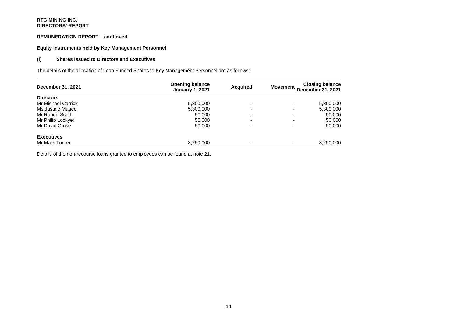## **REMUNERATION REPORT – continued**

**Equity instruments held by Key Management Personnel** 

## **(i) Shares issued to Directors and Executives**

The details of the allocation of Loan Funded Shares to Key Management Personnel are as follows:

| December 31, 2021  | <b>Opening balance</b><br><b>January 1, 2021</b> | <b>Acquired</b> | <b>Movement</b> | <b>Closing balance</b><br>December 31, 2021 |
|--------------------|--------------------------------------------------|-----------------|-----------------|---------------------------------------------|
| <b>Directors</b>   |                                                  |                 |                 |                                             |
| Mr Michael Carrick | 5,300,000                                        |                 |                 | 5,300,000                                   |
| Ms Justine Magee   | 5,300,000                                        |                 | -               | 5,300,000                                   |
| Mr Robert Scott    | 50,000                                           | -               | -               | 50,000                                      |
| Mr Philip Lockyer  | 50,000                                           |                 |                 | 50,000                                      |
| Mr David Cruse     | 50,000                                           | -               |                 | 50,000                                      |
| <b>Executives</b>  |                                                  |                 |                 |                                             |
| Mr Mark Turner     | 3,250,000                                        |                 |                 | 3,250,000                                   |

Details of the non-recourse loans granted to employees can be found at note 21.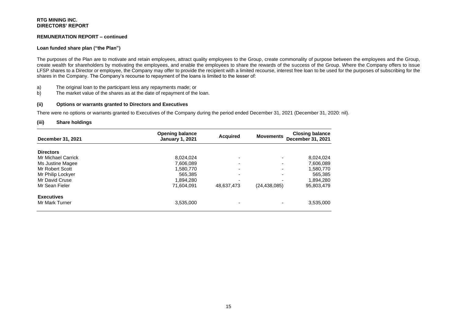#### **REMUNERATION REPORT – continued**

## **Loan funded share plan ("the Plan")**

The purposes of the Plan are to motivate and retain employees, attract quality employees to the Group, create commonality of purpose between the employees and the Group, create wealth for shareholders by motivating the employees, and enable the employees to share the rewards of the success of the Group. Where the Company offers to issue LFSP shares to a Director or employee, the Company may offer to provide the recipient with a limited recourse, interest free loan to be used for the purposes of subscribing for the shares in the Company. The Company's recourse to repayment of the loans is limited to the lesser of:

- a) The original loan to the participant less any repayments made; or b) The market value of the shares as at the date of repayment of the
- The market value of the shares as at the date of repayment of the loan.

## **(ii) Options or warrants granted to Directors and Executives**

There were no options or warrants granted to Executives of the Company during the period ended December 31, 2021 (December 31, 2020: nil).

## **(iii) Share holdings**

| December 31, 2021  | <b>Opening balance</b><br><b>January 1, 2021</b> | <b>Acquired</b>          | <b>Movements</b>         | <b>Closing balance</b><br>December 31, 2021 |
|--------------------|--------------------------------------------------|--------------------------|--------------------------|---------------------------------------------|
| <b>Directors</b>   |                                                  |                          |                          |                                             |
| Mr Michael Carrick | 8.024.024                                        | $\overline{\phantom{0}}$ | -                        | 8,024,024                                   |
| Ms Justine Magee   | 7,606,089                                        |                          | $\overline{\phantom{0}}$ | 7,606,089                                   |
| Mr Robert Scott    | 1,580,770                                        | $\overline{\phantom{0}}$ | ۰.                       | 1,580,770                                   |
| Mr Philip Lockyer  | 565.385                                          |                          |                          | 565,385                                     |
| Mr David Cruse     | 1.894.280                                        |                          |                          | 1.894.280                                   |
| Mr Sean Fieler     | 71.604.091                                       | 48,637,473               | (24, 438, 085)           | 95,803,479                                  |
| <b>Executives</b>  |                                                  |                          |                          |                                             |
| Mr Mark Turner     | 3,535,000                                        |                          | -                        | 3,535,000                                   |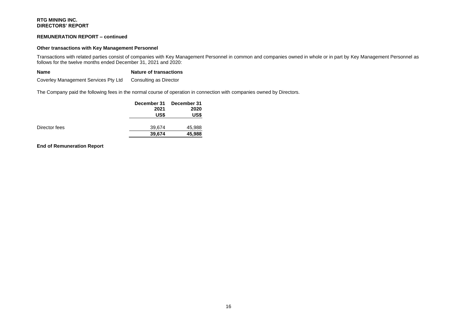## **REMUNERATION REPORT – continued**

## **Other transactions with Key Management Personnel**

Transactions with related parties consist of companies with Key Management Personnel in common and companies owned in whole or in part by Key Management Personnel as follows for the twelve months ended December 31, 2021 and 2020:

| Name   |  |  |  | <b>Nature of transactions</b> |  |  |  |  |
|--------|--|--|--|-------------------------------|--|--|--|--|
| $\sim$ |  |  |  |                               |  |  |  |  |

Coverley Management Services Pty Ltd Consulting as Director

The Company paid the following fees in the normal course of operation in connection with companies owned by Directors.

|               | December 31 | <b>December 31</b> |
|---------------|-------------|--------------------|
|               | 2021        | 2020               |
|               | US\$        | US\$               |
|               |             |                    |
| Director fees | 39,674      | 45,988             |
|               | 39,674      | 45,988             |

## **End of Remuneration Report**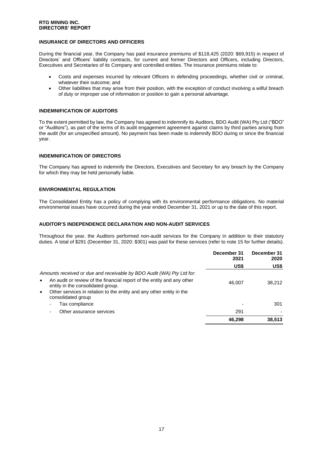## **INSURANCE OF DIRECTORS AND OFFICERS**

During the financial year, the Company has paid insurance premiums of \$118,425 (2020: \$69,915) in respect of Directors' and Officers' liability contracts, for current and former Directors and Officers, including Directors, Executives and Secretaries of its Company and controlled entities. The insurance premiums relate to:

- Costs and expenses incurred by relevant Officers in defending proceedings, whether civil or criminal, whatever their outcome; and
- Other liabilities that may arise from their position, with the exception of conduct involving a wilful breach of duty or improper use of information or position to gain a personal advantage.

## **INDEMNIFICATION OF AUDITORS**

To the extent permitted by law, the Company has agreed to indemnify its Auditors, BDO Audit (WA) Pty Ltd ("BDO" or "Auditors"), as part of the terms of its audit engagement agreement against claims by third parties arising from the audit (for an unspecified amount). No payment has been made to indemnify BDO during or since the financial year.

## **INDEMNIFICATION OF DIRECTORS**

The Company has agreed to indemnify the Directors, Executives and Secretary for any breach by the Company for which they may be held personally liable.

## **ENVIRONMENTAL REGULATION**

The Consolidated Entity has a policy of complying with its environmental performance obligations. No material environmental issues have occurred during the year ended December 31, 2021 or up to the date of this report.

## **AUDITOR'S INDEPENDENCE DECLARATION AND NON-AUDIT SERVICES**

Throughout the year, the Auditors performed non-audit services for the Company in addition to their statutory duties. A total of \$291 (December 31, 2020: \$301) was paid for these services (refer to note 15 for further details).

|                                                                                                                                                                                                                                     | December 31<br>2021 | December 31<br>2020 |
|-------------------------------------------------------------------------------------------------------------------------------------------------------------------------------------------------------------------------------------|---------------------|---------------------|
|                                                                                                                                                                                                                                     | US\$                | US\$                |
| Amounts received or due and receivable by BDO Audit (WA) Pty Ltd for:                                                                                                                                                               |                     |                     |
| An audit or review of the financial report of the entity and any other<br>$\bullet$<br>entity in the consolidated group.<br>Other services in relation to the entity and any other entity in the<br>$\bullet$<br>consolidated group | 46,007              | 38,212              |
| Tax compliance<br>۰                                                                                                                                                                                                                 |                     | 301                 |
| Other assurance services                                                                                                                                                                                                            | 291                 |                     |
|                                                                                                                                                                                                                                     | 46,298              | 38,513              |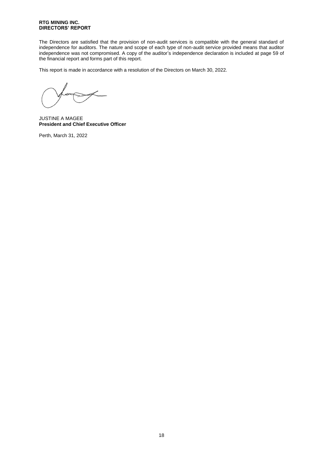The Directors are satisfied that the provision of non-audit services is compatible with the general standard of independence for auditors. The nature and scope of each type of non-audit service provided means that auditor independence was not compromised. A copy of the auditor's independence declaration is included at page 59 of the financial report and forms part of this report.

This report is made in accordance with a resolution of the Directors on March 30, 2022.

JUSTINE A MAGEE **President and Chief Executive Officer**

Perth, March 31, 2022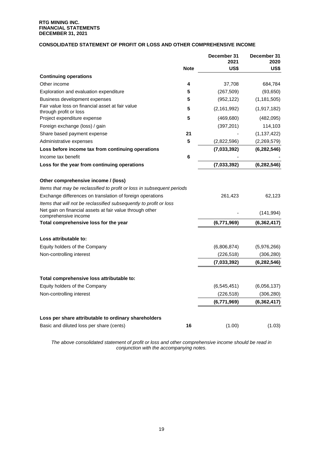## <span id="page-18-0"></span>**CONSOLIDATED STATEMENT OF PROFIT OR LOSS AND OTHER COMPREHENSIVE INCOME**

|                                                                                  |             | December 31<br>2021 | December 31<br>2020 |
|----------------------------------------------------------------------------------|-------------|---------------------|---------------------|
|                                                                                  | <b>Note</b> | US\$                | US\$                |
| <b>Continuing operations</b>                                                     |             |                     |                     |
| Other income                                                                     | 4           | 37,708              | 684,784             |
| Exploration and evaluation expenditure                                           | 5           | (267, 509)          | (93, 650)           |
| Business development expenses                                                    | 5           | (952, 122)          | (1, 181, 505)       |
| Fair value loss on financial asset at fair value<br>through profit or loss       | 5           | (2, 161, 992)       | (1, 917, 182)       |
| Project expenditure expense                                                      | 5           | (469, 680)          | (482,095)           |
| Foreign exchange (loss) / gain                                                   |             | (397, 201)          | 114,103             |
| Share based payment expense                                                      | 21          |                     | (1, 137, 422)       |
| Administrative expenses                                                          | 5           | (2,822,596)         | (2,269,579)         |
| Loss before income tax from continuing operations                                |             | (7,033,392)         | (6, 282, 546)       |
| Income tax benefit                                                               | 6           |                     |                     |
| Loss for the year from continuing operations                                     |             | (7,033,392)         | (6, 282, 546)       |
| Other comprehensive income / (loss)                                              |             |                     |                     |
| Items that may be reclassified to profit or loss in subsequent periods           |             |                     |                     |
| Exchange differences on translation of foreign operations                        |             | 261,423             | 62,123              |
| Items that will not be reclassified subsequently to profit or loss               |             |                     |                     |
| Net gain on financial assets at fair value through other<br>comprehensive income |             |                     | (141, 994)          |
| Total comprehensive loss for the year                                            |             | (6,771,969)         | (6, 362, 417)       |
| Loss attributable to:                                                            |             |                     |                     |
| Equity holders of the Company                                                    |             | (6,806,874)         | (5,976,266)         |
| Non-controlling interest                                                         |             | (226, 518)          | (306, 280)          |
|                                                                                  |             | (7,033,392)         | (6, 282, 546)       |
| Total comprehensive loss attributable to:                                        |             |                     |                     |
| Equity holders of the Company                                                    |             | (6, 545, 451)       | (6,056,137)         |
| Non-controlling interest                                                         |             | (226, 518)          | (306, 280)          |
|                                                                                  |             | (6,771,969)         | (6,362,417)         |
| Loss per share attributable to ordinary shareholders                             |             |                     |                     |
| Basic and diluted loss per share (cents)                                         | 16          | (1.00)              | (1.03)              |

*The above consolidated statement of profit or loss and other comprehensive income should be read in conjunction with the accompanying notes.*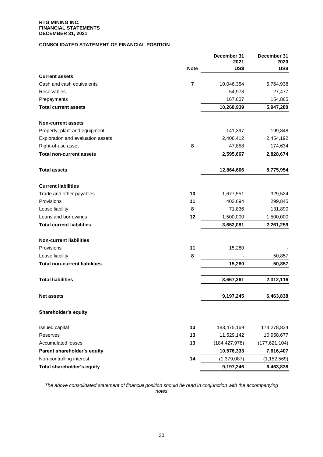## <span id="page-19-0"></span>**CONSOLIDATED STATEMENT OF FINANCIAL POSITION**

|                                      | <b>Note</b> | December 31<br>2021<br>US\$ | December 31<br>2020<br>US\$ |
|--------------------------------------|-------------|-----------------------------|-----------------------------|
| <b>Current assets</b>                |             |                             |                             |
| Cash and cash equivalents            | 7           | 10,046,354                  | 5,764,938                   |
| Receivables                          |             | 54,978                      | 27,477                      |
| Prepayments                          |             | 167,607                     | 154,865                     |
| <b>Total current assets</b>          |             | 10,268,939                  | 5,947,280                   |
| <b>Non-current assets</b>            |             |                             |                             |
| Property, plant and equipment        |             | 141,397                     | 199,848                     |
| Exploration and evaluation assets    |             | 2,406,412                   | 2,454,192                   |
| Right-of-use asset                   | 8           | 47,858                      | 174,634                     |
| <b>Total non-current assets</b>      |             | 2,595,667                   | 2,828,674                   |
| <b>Total assets</b>                  |             | 12,864,606                  | 8,775,954                   |
| <b>Current liabilities</b>           |             |                             |                             |
| Trade and other payables             | 10          | 1,677,551                   | 329,524                     |
| Provisions                           | 11          | 402,694                     | 299,845                     |
| Lease liability                      | 8           | 71,836                      | 131,890                     |
| Loans and borrowings                 | 12          | 1,500,000                   | 1,500,000                   |
| <b>Total current liabilities</b>     |             | 3,652,081                   | 2,261,259                   |
| <b>Non-current liabilities</b>       |             |                             |                             |
| Provisions                           | 11          | 15,280                      |                             |
| Lease liability                      | 8           |                             | 50,857                      |
| <b>Total non-current liabilities</b> |             | 15,280                      | 50,857                      |
| <b>Total liabilities</b>             |             | 3,667,361                   | 2,312,116                   |
| <b>Net assets</b>                    |             | 9,197,245                   | 6,463,838                   |
| Shareholder's equity                 |             |                             |                             |
| Issued capital                       | 13          | 183,475,169                 | 174,278,834                 |
| Reserves                             | 13          | 11,529,142                  | 10,958,677                  |
| <b>Accumulated losses</b>            | 13          | (184, 427, 978)             | (177, 621, 104)             |
| Parent shareholder's equity          |             | 10,576,333                  | 7,616,407                   |
| Non-controlling interest             | 14          | (1,379,087)                 | (1, 152, 569)               |
| Total shareholder's equity           |             | 9,197,246                   | 6,463,838                   |

*The above consolidated statement of financial position should be read in conjunction with the accompanying notes*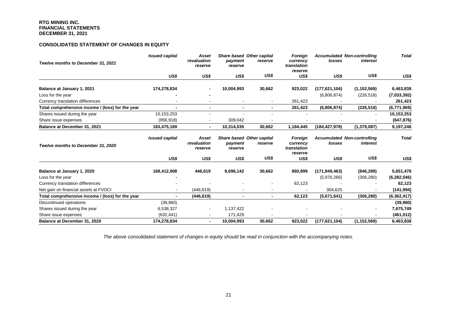## **CONSOLIDATED STATEMENT OF CHANGES IN EQUITY**

| Twelve months to December 31, 2021               | <b>Issued capital</b> | Asset<br>revaluation<br>reserve | payment<br>reserve       | <b>Share based Other capital</b><br>reserve | <b>Foreign</b><br>currency<br>translation<br>reserve | losses          | <b>Accumulated Non-controlling</b><br>interest | <b>Total</b>  |
|--------------------------------------------------|-----------------------|---------------------------------|--------------------------|---------------------------------------------|------------------------------------------------------|-----------------|------------------------------------------------|---------------|
|                                                  | US\$                  | US\$                            | US\$                     | US\$                                        | US\$                                                 | US\$            | US\$                                           | US\$          |
| Balance at January 1, 2021                       | 174,278,834           |                                 | 10,004,993               | 30,662                                      | 923,022                                              | (177, 621, 104) | (1, 152, 569)                                  | 6,463,838     |
| Loss for the year                                |                       |                                 |                          |                                             |                                                      | (6,806,874)     | (226, 518)                                     | (7,033,392)   |
| Currency translation differences                 |                       |                                 |                          |                                             | 261,423                                              |                 |                                                | 261,423       |
| Total comprehensive income / (loss) for the year |                       | $\blacksquare$                  | $\blacksquare$           | $\blacksquare$                              | 261,423                                              | (6,806,874)     | (226, 518)                                     | (6,771,969)   |
| Shares issued during the year                    | 10,153,253            |                                 |                          |                                             |                                                      |                 |                                                | 10,153,253    |
| Share issue expenses                             | (956, 918)            |                                 | 309,042                  |                                             |                                                      |                 |                                                | (647, 876)    |
| Balance at December 31, 2021                     | 183,475,169           | $\blacksquare$                  | 10,314,035               | 30,662                                      | 1,184,445                                            | (184, 427, 978) | (1,379,087)                                    | 9,197,246     |
| Twelve months to December 31, 2020               | <b>Issued capital</b> | Asset<br>revaluation<br>reserve | payment<br>reserve       | <b>Share based Other capital</b><br>reserve | <b>Foreign</b><br>currency<br>translation<br>reserve | losses          | <b>Accumulated Non-controlling</b><br>interest | <b>Total</b>  |
|                                                  | US\$                  | US\$                            | US\$                     | US\$                                        | US\$                                                 | US\$            | US\$                                           | US\$          |
| Balance at January 1, 2020                       | 168,412,908           | 446,619                         | 8,696,142                | 30,662                                      | 860,899                                              | (171, 949, 463) | (846, 289)                                     | 5,651,478     |
| Loss for the year                                |                       |                                 |                          |                                             |                                                      | (5,976,266)     | (306, 280)                                     | (6, 282, 546) |
| Currency translation differences                 |                       |                                 |                          |                                             | 62,123                                               |                 |                                                | 62,123        |
| Net gain on financial assets at FVOCI            |                       | (446, 619)                      |                          |                                             |                                                      | 304,625         |                                                | (141, 994)    |
| Total comprehensive income / (loss) for the year |                       | (446, 619)                      | $\overline{\phantom{0}}$ | $\blacksquare$                              | 62,123                                               | (5,671,641)     | (306, 280)                                     | (6, 362, 417) |
| Discontinued operations                          | (39,960)              |                                 |                          |                                             |                                                      |                 |                                                | (39,960)      |
| Shares issued during the year                    | 6,538,327             | $\blacksquare$                  | 1,137,422                |                                             |                                                      |                 |                                                | 7,675,749     |
| Share issue expenses                             | (632, 441)            |                                 | 171,429                  |                                             |                                                      |                 |                                                | (461, 012)    |
| Balance at December 31, 2020                     | 174,278,834           | ٠                               | 10,004,993               | 30,662                                      | 923,022                                              | (177, 621, 104) | (1, 152, 569)                                  | 6,463,838     |

<span id="page-20-0"></span>*The above consolidated statement of changes in equity should be read in conjunction with the accompanying notes.*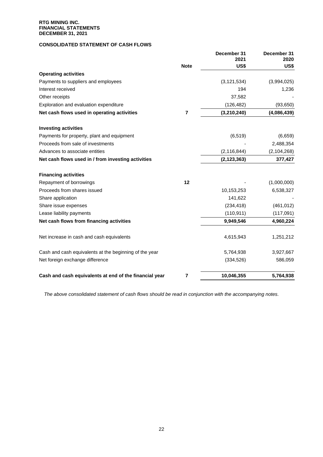## <span id="page-21-0"></span>**CONSOLIDATED STATEMENT OF CASH FLOWS**

|                                                        |                | December 31<br>2021 | December 31<br>2020 |
|--------------------------------------------------------|----------------|---------------------|---------------------|
|                                                        | <b>Note</b>    | US\$                | US\$                |
| <b>Operating activities</b>                            |                |                     |                     |
| Payments to suppliers and employees                    |                | (3, 121, 534)       | (3,994,025)         |
| Interest received                                      |                | 194                 | 1,236               |
| Other receipts                                         |                | 37,582              |                     |
| Exploration and evaluation expenditure                 |                | (126, 482)          | (93, 650)           |
| Net cash flows used in operating activities            | $\overline{7}$ | (3, 210, 240)       | (4,086,439)         |
| <b>Investing activities</b>                            |                |                     |                     |
| Payments for property, plant and equipment             |                | (6, 519)            | (6,659)             |
| Proceeds from sale of investments                      |                |                     | 2,488,354           |
| Advances to associate entities                         |                | (2, 116, 844)       | (2, 104, 268)       |
| Net cash flows used in / from investing activities     |                | (2, 123, 363)       | 377,427             |
| <b>Financing activities</b>                            |                |                     |                     |
| Repayment of borrowings                                | 12             |                     | (1,000,000)         |
| Proceeds from shares issued                            |                | 10,153,253          | 6,538,327           |
| Share application                                      |                | 141,622             |                     |
| Share issue expenses                                   |                | (234, 418)          | (461, 012)          |
| Lease liability payments                               |                | (110, 911)          | (117,091)           |
| Net cash flows from financing activities               |                | 9,949,546           | 4,960,224           |
| Net increase in cash and cash equivalents              |                | 4,615,943           | 1,251,212           |
| Cash and cash equivalents at the beginning of the year |                | 5,764,938           | 3,927,667           |
| Net foreign exchange difference                        |                | (334, 526)          | 586,059             |
| Cash and cash equivalents at end of the financial year | 7              | 10,046,355          | 5,764,938           |

*The above consolidated statement of cash flows should be read in conjunction with the accompanying notes.*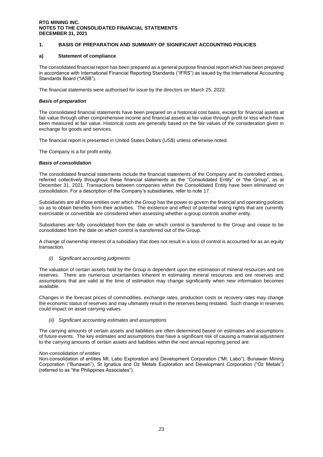## **1. BASIS OF PREPARATION AND SUMMARY OF SIGNIFICANT ACCOUNTING POLICIES**

#### **a) Statement of compliance**

The consolidated financial report has been prepared as a general purpose financial report which has been prepared in accordance with International Financial Reporting Standards ("IFRS") as issued by the International Accounting Standards Board ("IASB").

The financial statements were authorised for issue by the directors on March 25, 2022.

#### *Basis of preparation*

The consolidated financial statements have been prepared on a historical cost basis, except for financial assets at fair value through other comprehensive income and financial assets at fair value through profit or loss which have been measured at fair value. Historical costs are generally based on the fair values of the consideration given in exchange for goods and services.

The financial report is presented in United States Dollars (US\$) unless otherwise noted.

The Company is a for profit entity.

#### *Basis of consolidation*

The consolidated financial statements include the financial statements of the Company and its controlled entities, referred collectively throughout these financial statements as the "Consolidated Entity" or "the Group", as at December 31, 2021. Transactions between companies within the Consolidated Entity have been eliminated on consolidation. For a description of the Company's subsidiaries, refer to note 17.

Subsidiaries are all those entities over which the Group has the power to govern the financial and operating policies so as to obtain benefits from their activities. The existence and effect of potential voting rights that are currently exercisable or convertible are considered when assessing whether a group controls another entity.

Subsidiaries are fully consolidated from the date on which control is transferred to the Group and cease to be consolidated from the date on which control is transferred out of the Group.

A change of ownership interest of a subsidiary that does not result in a loss of control is accounted for as an equity transaction.

#### *(i) Significant accounting judgments*

The valuation of certain assets held by the Group is dependent upon the estimation of mineral resources and ore reserves. There are numerous uncertainties inherent in estimating mineral resources and ore reserves and assumptions that are valid at the time of estimation may change significantly when new information becomes available.

Changes in the forecast prices of commodities, exchange rates, production costs or recovery rates may change the economic status of reserves and may ultimately result in the reserves being restated. Such change in reserves could impact on asset carrying values.

#### *(ii) Significant accounting estimates and assumptions*

The carrying amounts of certain assets and liabilities are often determined based on estimates and assumptions of future events. The key estimates and assumptions that have a significant risk of causing a material adjustment to the carrying amounts of certain assets and liabilities within the next annual reporting period are:

## *Non-consolidation of entities*

Non-consolidation of entities Mt. Labo Exploration and Development Corporation ("Mt. Labo"), Bunawan Mining Corporation ("Bunawan"), St Ignatius and Oz Metals Exploration and Development Corporation ("Oz Metals") (referred to as "the Philippines Associates").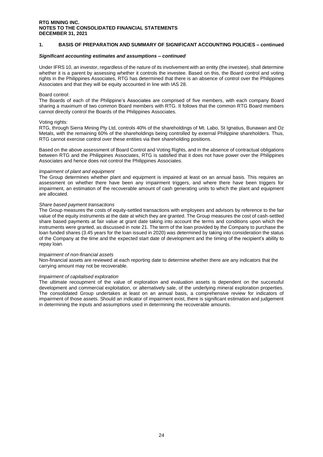## **1. BASIS OF PREPARATION AND SUMMARY OF SIGNIFICANT ACCOUNTING POLICIES – continued**

## *Significant accounting estimates and assumptions – continued*

Under IFRS 10, an investor, regardless of the nature of its involvement with an entity (the investee), shall determine whether it is a parent by assessing whether it controls the investee. Based on this, the Board control and voting rights in the Philippines Associates, RTG has determined that there is an absence of control over the Philippines Associates and that they will be equity accounted in line with IAS 28.

#### Board control:

The Boards of each of the Philippine's Associates are comprised of five members, with each company Board sharing a maximum of two common Board members with RTG. It follows that the common RTG Board members cannot directly control the Boards of the Philippines Associates.

#### Voting rights:

RTG, through Sierra Mining Pty Ltd, controls 40% of the shareholdings of Mt. Labo, St Ignatius, Bunawan and Oz Metals, with the remaining 60% of the shareholdings being controlled by external Philippine shareholders. Thus, RTG cannot exercise control over these entities via their shareholding positions.

Based on the above assessment of Board Control and Voting Rights, and in the absence of contractual obligations between RTG and the Philippines Associates, RTG is satisfied that it does not have power over the Philippines Associates and hence does not control the Philippines Associates.

#### *Impairment of plant and equipment*

The Group determines whether plant and equipment is impaired at least on an annual basis. This requires an assessment on whether there have been any impairment triggers, and where there have been triggers for impairment, an estimation of the recoverable amount of cash generating units to which the plant and equipment are allocated.

## *Share based payment transactions*

The Group measures the costs of equity-settled transactions with employees and advisors by reference to the fair value of the equity instruments at the date at which they are granted. The Group measures the cost of cash-settled share based payments at fair value at grant date taking into account the terms and conditions upon which the instruments were granted, as discussed in note 21. The term of the loan provided by the Company to purchase the loan funded shares (3.45 years for the loan issued in 2020) was determined by taking into consideration the status of the Company at the time and the expected start date of development and the timing of the recipient's ability to repay loan.

#### *Impairment of non-financial assets*

Non-financial assets are reviewed at each reporting date to determine whether there are any indicators that the carrying amount may not be recoverable.

## *Impairment of capitalised exploration*

The ultimate recoupment of the value of exploration and evaluation assets is dependent on the successful development and commercial exploitation, or alternatively sale, of the underlying mineral exploration properties. The consolidated Group undertakes at least on an annual basis, a comprehensive review for indicators of impairment of those assets. Should an indicator of impairment exist, there is significant estimation and judgement in determining the inputs and assumptions used in determining the recoverable amounts.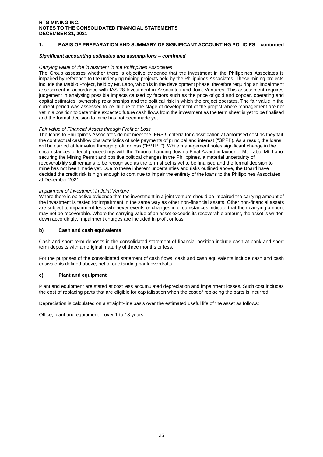## **1. BASIS OF PREPARATION AND SUMMARY OF SIGNIFICANT ACCOUNTING POLICIES – continued**

## *Significant accounting estimates and assumptions – continued*

#### *Carrying value of the investment in the Philippines Associates*

The Group assesses whether there is objective evidence that the investment in the Philippines Associates is impaired by reference to the underlying mining projects held by the Philippines Associates. These mining projects include the Mabilo Project, held by Mt. Labo, which is in the development phase, therefore requiring an impairment assessment in accordance with IAS 28 Investment in Associates and Joint Ventures. This assessment requires judgement in analysing possible impacts caused by factors such as the price of gold and copper, operating and capital estimates, ownership relationships and the political risk in which the project operates. The fair value in the current period was assessed to be nil due to the stage of development of the project where management are not yet in a position to determine expected future cash flows from the investment as the term sheet is yet to be finalised and the formal decision to mine has not been made yet.

## *Fair value of Financial Assets through Profit or Loss*

The loans to Philippines Associates do not meet the IFRS 9 criteria for classification at amortised cost as they fail the contractual cashflow characteristics of sole payments of principal and interest ("SPPI"). As a result, the loans will be carried at fair value through profit or loss ("FVTPL"). While management notes significant change in the circumstances of legal proceedings with the Tribunal handing down a Final Award in favour of Mt. Labo, Mt. Labo securing the Mining Permit and positive political changes in the Philippines, a material uncertainty of recoverability still remains to be recognised as the term sheet is yet to be finalised and the formal decision to mine has not been made yet. Due to these inherent uncertainties and risks outlined above, the Board have decided the credit risk is high enough to continue to impair the entirety of the loans to the Philippines Associates at December 2021.

#### *Impairment of investment in Joint Venture*

Where there is objective evidence that the investment in a joint venture should be impaired the carrying amount of the investment is tested for impairment in the same way as other non-financial assets. Other non-financial assets are subject to impairment tests whenever events or changes in circumstances indicate that their carrying amount may not be recoverable. Where the carrying value of an asset exceeds its recoverable amount, the asset is written down accordingly. Impairment charges are included in profit or loss.

## **b) Cash and cash equivalents**

Cash and short term deposits in the consolidated statement of financial position include cash at bank and short term deposits with an original maturity of three months or less.

For the purposes of the consolidated statement of cash flows, cash and cash equivalents include cash and cash equivalents defined above, net of outstanding bank overdrafts.

## **c) Plant and equipment**

Plant and equipment are stated at cost less accumulated depreciation and impairment losses. Such cost includes the cost of replacing parts that are eligible for capitalisation when the cost of replacing the parts is incurred.

Depreciation is calculated on a straight-line basis over the estimated useful life of the asset as follows:

Office, plant and equipment – over 1 to 13 years.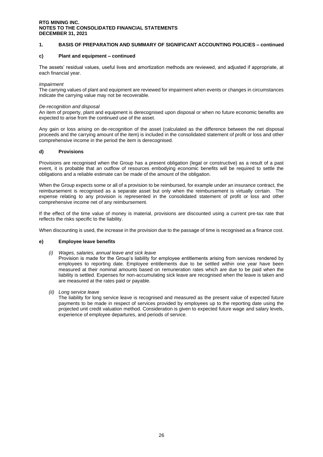## **1. BASIS OF PREPARATION AND SUMMARY OF SIGNIFICANT ACCOUNTING POLICIES – continued**

## **c) Plant and equipment – continued**

The assets' residual values, useful lives and amortization methods are reviewed, and adjusted if appropriate, at each financial year.

#### *Impairment*

The carrying values of plant and equipment are reviewed for impairment when events or changes in circumstances indicate the carrying value may not be recoverable.

#### *De-recognition and disposal*

An item of property, plant and equipment is derecognised upon disposal or when no future economic benefits are expected to arise from the continued use of the asset.

Any gain or loss arising on de-recognition of the asset (calculated as the difference between the net disposal proceeds and the carrying amount of the item) is included in the consolidated statement of profit or loss and other comprehensive income in the period the item is derecognised.

## **d) Provisions**

Provisions are recognised when the Group has a present obligation (legal or constructive) as a result of a past event, it is probable that an outflow of resources embodying economic benefits will be required to settle the obligations and a reliable estimate can be made of the amount of the obligation.

When the Group expects some or all of a provision to be reimbursed, for example under an insurance contract, the reimbursement is recognised as a separate asset but only when the reimbursement is virtually certain. The expense relating to any provision is represented in the consolidated statement of profit or loss and other comprehensive income net of any reimbursement.

If the effect of the time value of money is material, provisions are discounted using a current pre-tax rate that reflects the risks specific to the liability.

When discounting is used, the increase in the provision due to the passage of time is recognised as a finance cost.

## **e) Employee leave benefits**

## *(i) Wages, salaries, annual leave and sick leave*

Provision is made for the Group's liability for employee entitlements arising from services rendered by employees to reporting date. Employee entitlements due to be settled within one year have been measured at their nominal amounts based on remuneration rates which are due to be paid when the liability is settled. Expenses for non-accumulating sick leave are recognised when the leave is taken and are measured at the rates paid or payable.

*(ii) Long service leave*

The liability for long service leave is recognised and measured as the present value of expected future payments to be made in respect of services provided by employees up to the reporting date using the projected unit credit valuation method. Consideration is given to expected future wage and salary levels, experience of employee departures, and periods of service.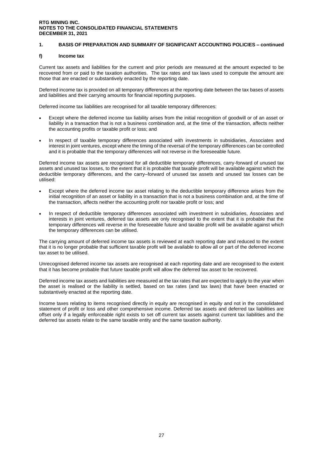## **1. BASIS OF PREPARATION AND SUMMARY OF SIGNIFICANT ACCOUNTING POLICIES – continued**

## **f) Income tax**

Current tax assets and liabilities for the current and prior periods are measured at the amount expected to be recovered from or paid to the taxation authorities. The tax rates and tax laws used to compute the amount are those that are enacted or substantively enacted by the reporting date.

Deferred income tax is provided on all temporary differences at the reporting date between the tax bases of assets and liabilities and their carrying amounts for financial reporting purposes.

Deferred income tax liabilities are recognised for all taxable temporary differences:

- Except where the deferred income tax liability arises from the initial recognition of goodwill or of an asset or liability in a transaction that is not a business combination and, at the time of the transaction, affects neither the accounting profits or taxable profit or loss; and
- In respect of taxable temporary differences associated with investments in subsidiaries, Associates and interest in joint ventures, except where the timing of the reversal of the temporary differences can be controlled and it is probable that the temporary differences will not reverse in the foreseeable future.

Deferred income tax assets are recognised for all deductible temporary differences, carry-forward of unused tax assets and unused tax losses, to the extent that it is probable that taxable profit will be available against which the deductible temporary differences, and the carry–forward of unused tax assets and unused tax losses can be utilised:

- Except where the deferred income tax asset relating to the deductible temporary difference arises from the initial recognition of an asset or liability in a transaction that is not a business combination and, at the time of the transaction, affects neither the accounting profit nor taxable profit or loss; and
- In respect of deductible temporary differences associated with investment in subsidiaries, Associates and interests in joint ventures, deferred tax assets are only recognised to the extent that it is probable that the temporary differences will reverse in the foreseeable future and taxable profit will be available against which the temporary differences can be utilised.

The carrying amount of deferred income tax assets is reviewed at each reporting date and reduced to the extent that it is no longer probable that sufficient taxable profit will be available to allow all or part of the deferred income tax asset to be utilised.

Unrecognised deferred income tax assets are recognised at each reporting date and are recognised to the extent that it has become probable that future taxable profit will allow the deferred tax asset to be recovered.

Deferred income tax assets and liabilities are measured at the tax rates that are expected to apply to the year when the asset is realised or the liability is settled, based on tax rates (and tax laws) that have been enacted or substantively enacted at the reporting date.

Income taxes relating to items recognised directly in equity are recognised in equity and not in the consolidated statement of profit or loss and other comprehensive income. Deferred tax assets and deferred tax liabilities are offset only if a legally enforceable right exists to set off current tax assets against current tax liabilities and the deferred tax assets relate to the same taxable entity and the same taxation authority.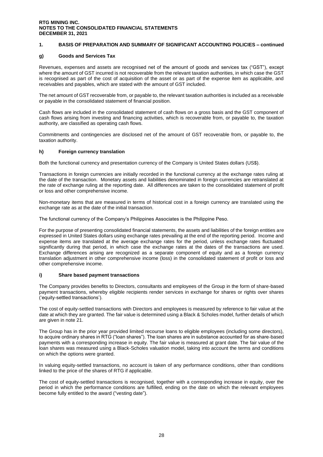## **1. BASIS OF PREPARATION AND SUMMARY OF SIGNIFICANT ACCOUNTING POLICIES – continued**

## **g) Goods and Services Tax**

Revenues, expenses and assets are recognised net of the amount of goods and services tax ("GST"), except where the amount of GST incurred is not recoverable from the relevant taxation authorities, in which case the GST is recognised as part of the cost of acquisition of the asset or as part of the expense item as applicable, and receivables and payables, which are stated with the amount of GST included.

The net amount of GST recoverable from, or payable to, the relevant taxation authorities is included as a receivable or payable in the consolidated statement of financial position.

Cash flows are included in the consolidated statement of cash flows on a gross basis and the GST component of cash flows arising from investing and financing activities, which is recoverable from, or payable to, the taxation authority, are classified as operating cash flows.

Commitments and contingencies are disclosed net of the amount of GST recoverable from, or payable to, the taxation authority.

## **h) Foreign currency translation**

Both the functional currency and presentation currency of the Company is United States dollars (US\$).

Transactions in foreign currencies are initially recorded in the functional currency at the exchange rates ruling at the date of the transaction. Monetary assets and liabilities denominated in foreign currencies are retranslated at the rate of exchange ruling at the reporting date. All differences are taken to the consolidated statement of profit or loss and other comprehensive income.

Non-monetary items that are measured in terms of historical cost in a foreign currency are translated using the exchange rate as at the date of the initial transaction.

The functional currency of the Company's Philippines Associates is the Philippine Peso.

For the purpose of presenting consolidated financial statements, the assets and liabilities of the foreign entities are expressed in United States dollars using exchange rates prevailing at the end of the reporting period. Income and expense items are translated at the average exchange rates for the period, unless exchange rates fluctuated significantly during that period, in which case the exchange rates at the dates of the transactions are used. Exchange differences arising are recognized as a separate component of equity and as a foreign currency translation adjustment in other comprehensive income (loss) in the consolidated statement of profit or loss and other comprehensive income.

## **i) Share based payment transactions**

The Company provides benefits to Directors, consultants and employees of the Group in the form of share-based payment transactions, whereby eligible recipients render services in exchange for shares or rights over shares ('equity-settled transactions').

The cost of equity-settled transactions with Directors and employees is measured by reference to fair value at the date at which they are granted. The fair value is determined using a Black & Scholes model, further details of which are given in note 21.

The Group has in the prior year provided limited recourse loans to eligible employees (including some directors), to acquire ordinary shares in RTG ("loan shares"). The loan shares are in substance accounted for as share-based payments with a corresponding increase in equity. The fair value is measured at grant date. The fair value of the loan shares was measured using a Black-Scholes valuation model, taking into account the terms and conditions on which the options were granted.

In valuing equity-settled transactions, no account is taken of any performance conditions, other than conditions linked to the price of the shares of RTG if applicable.

The cost of equity-settled transactions is recognised, together with a corresponding increase in equity, over the period in which the performance conditions are fulfilled, ending on the date on which the relevant employees become fully entitled to the award ("vesting date").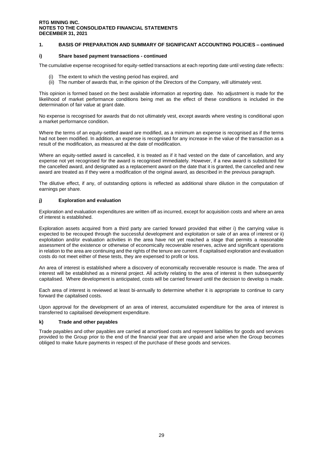## **1. BASIS OF PREPARATION AND SUMMARY OF SIGNIFICANT ACCOUNTING POLICIES – continued**

## **i) Share based payment transactions - continued**

The cumulative expense recognised for equity-settled transactions at each reporting date until vesting date reflects:

- (i) The extent to which the vesting period has expired, and
- (ii) The number of awards that, in the opinion of the Directors of the Company, will ultimately vest.

This opinion is formed based on the best available information at reporting date. No adjustment is made for the likelihood of market performance conditions being met as the effect of these conditions is included in the determination of fair value at grant date.

No expense is recognised for awards that do not ultimately vest, except awards where vesting is conditional upon a market performance condition.

Where the terms of an equity-settled award are modified, as a minimum an expense is recognised as if the terms had not been modified. In addition, an expense is recognised for any increase in the value of the transaction as a result of the modification, as measured at the date of modification.

Where an equity-settled award is cancelled, it is treated as if it had vested on the date of cancellation, and any expense not yet recognised for the award is recognised immediately. However, if a new award is substituted for the cancelled award, and designated as a replacement award on the date that it is granted, the cancelled and new award are treated as if they were a modification of the original award, as described in the previous paragraph.

The dilutive effect, if any, of outstanding options is reflected as additional share dilution in the computation of earnings per share.

## **j) Exploration and evaluation**

Exploration and evaluation expenditures are written off as incurred, except for acquisition costs and where an area of interest is established.

Exploration assets acquired from a third party are carried forward provided that either i) the carrying value is expected to be recouped through the successful development and exploitation or sale of an area of interest or ii) exploitation and/or evaluation activities in the area have not yet reached a stage that permits a reasonable assessment of the existence or otherwise of economically recoverable reserves, active and significant operations in relation to the area are continuing and the rights of the tenure are current. If capitalised exploration and evaluation costs do not meet either of these tests, they are expensed to profit or loss.

An area of interest is established where a discovery of economically recoverable resource is made. The area of interest will be established as a mineral project. All activity relating to the area of interest is then subsequently capitalised. Where development is anticipated, costs will be carried forward until the decision to develop is made.

Each area of interest is reviewed at least bi-annually to determine whether it is appropriate to continue to carry forward the capitalised costs.

Upon approval for the development of an area of interest, accumulated expenditure for the area of interest is transferred to capitalised development expenditure.

## **k) Trade and other payables**

Trade payables and other payables are carried at amortised costs and represent liabilities for goods and services provided to the Group prior to the end of the financial year that are unpaid and arise when the Group becomes obliged to make future payments in respect of the purchase of these goods and services.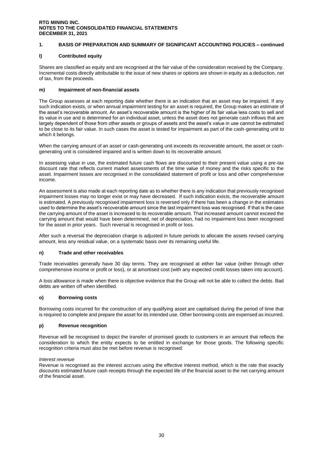## **1. BASIS OF PREPARATION AND SUMMARY OF SIGNIFICANT ACCOUNTING POLICIES – continued**

## **l) Contributed equity**

Shares are classified as equity and are recognised at the fair value of the consideration received by the Company. Incremental costs directly attributable to the issue of new shares or options are shown in equity as a deduction, net of tax, from the proceeds.

## **m) Impairment of non-financial assets**

The Group assesses at each reporting date whether there is an indication that an asset may be impaired. If any such indication exists, or when annual impairment testing for an asset is required, the Group makes an estimate of the asset's recoverable amount. An asset's recoverable amount is the higher of its fair value less costs to sell and its value in use and is determined for an individual asset, unless the asset does not generate cash inflows that are largely dependent of those from other assets or groups of assets and the asset's value in use cannot be estimated to be close to its fair value. In such cases the asset is tested for impairment as part of the cash-generating unit to which it belongs.

When the carrying amount of an asset or cash-generating unit exceeds its recoverable amount, the asset or cashgenerating unit is considered impaired and is written down to its recoverable amount.

In assessing value in use, the estimated future cash flows are discounted to their present value using a pre-tax discount rate that reflects current market assessments of the time value of money and the risks specific to the asset. Impairment losses are recognised in the consolidated statement of profit or loss and other comprehensive income.

An assessment is also made at each reporting date as to whether there is any indication that previously recognised impairment losses may no longer exist or may have decreased. If such indication exists, the recoverable amount is estimated. A previously recognised impairment loss is reversed only if there has been a change in the estimates used to determine the asset's recoverable amount since the last impairment loss was recognised. If that is the case the carrying amount of the asset is increased to its recoverable amount. That increased amount cannot exceed the carrying amount that would have been determined, net of depreciation, had no impairment loss been recognised for the asset in prior years. Such reversal is recognised in profit or loss.

After such a reversal the depreciation charge is adjusted in future periods to allocate the assets revised carrying amount, less any residual value, on a systematic basis over its remaining useful life.

## **n) Trade and other receivables**

Trade receivables generally have 30 day terms. They are recognised at either fair value (either through other comprehensive income or profit or loss), or at amortised cost (with any expected credit losses taken into account).

A loss allowance is made when there is objective evidence that the Group will not be able to collect the debts. Bad debts are written off when identified.

## **o) Borrowing costs**

Borrowing costs incurred for the construction of any qualifying asset are capitalised during the period of time that is required to complete and prepare the asset for its intended use. Other borrowing costs are expensed as incurred.

## **p) Revenue recognition**

Revenue will be recognised to depict the transfer of promised goods to customers in an amount that reflects the consideration to which the entity expects to be entitled in exchange for those goods. The following specific recognition criteria must also be met before revenue is recognised:

## *Interest revenue*

Revenue is recognised as the interest accrues using the effective interest method, which is the rate that exactly discounts estimated future cash receipts through the expected life of the financial asset to the net carrying amount of the financial asset.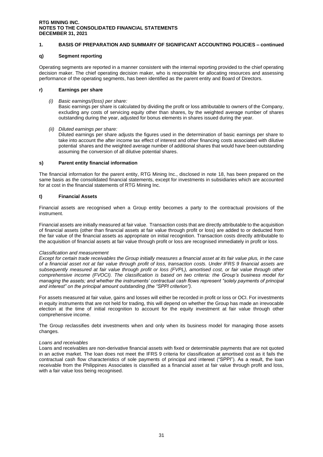## **1. BASIS OF PREPARATION AND SUMMARY OF SIGNIFICANT ACCOUNTING POLICIES – continued**

## **q) Segment reporting**

Operating segments are reported in a manner consistent with the internal reporting provided to the chief operating decision maker. The chief operating decision maker, who is responsible for allocating resources and assessing performance of the operating segments, has been identified as the parent entity and Board of Directors.

## **r) Earnings per share**

*(i) Basic earnings/(loss) per share:*

Basic earnings per share is calculated by dividing the profit or loss attributable to owners of the Company, excluding any costs of servicing equity other than shares, by the weighted average number of shares outstanding during the year, adjusted for bonus elements in shares issued during the year.

*(ii) Diluted earnings per share:*

Diluted earnings per share adjusts the figures used in the determination of basic earnings per share to take into account the after income tax effect of interest and other financing costs associated with dilutive potential shares and the weighted average number of additional shares that would have been outstanding assuming the conversion of all dilutive potential shares.

## **s) Parent entity financial information**

The financial information for the parent entity, RTG Mining Inc., disclosed in note 18, has been prepared on the same basis as the consolidated financial statements, except for investments in subsidiaries which are accounted for at cost in the financial statements of RTG Mining Inc.

## **t) Financial Assets**

Financial assets are recognised when a Group entity becomes a party to the contractual provisions of the instrument.

Financial assets are initially measured at fair value. Transaction costs that are directly attributable to the acquisition of financial assets (other than financial assets at fair value through profit or loss) are added to or deducted from the fair value of the financial assets as appropriate on initial recognition. Transaction costs directly attributable to the acquisition of financial assets at fair value through profit or loss are recognised immediately in profit or loss.

## *Classification and measurement*

*Except for certain trade receivables the Group initially measures a financial asset at its fair value plus, in the case of a financial asset not at fair value through profit of loss, transaction costs. Under IFRS 9 financial assets are subsequently measured at fair value through profit or loss (FVPL), amortised cost, or fair value through other comprehensive income (FVOCI). The classification is based on two criteria: the Group's business model for managing the assets; and whether the instruments' contractual cash flows represent "solely payments of principal and interest" on the principal amount outstanding (the "SPPI criterion").*

For assets measured at fair value, gains and losses will either be recorded in profit or loss or OCI. For investments in equity instruments that are not held for trading, this will depend on whether the Group has made an irrevocable election at the time of initial recognition to account for the equity investment at fair value through other comprehensive income.

The Group reclassifies debt investments when and only when its business model for managing those assets changes.

## *Loans and receivables*

Loans and receivables are non-derivative financial assets with fixed or determinable payments that are not quoted in an active market. The loan does not meet the IFRS 9 criteria for classification at amortised cost as it fails the contractual cash flow characteristics of sole payments of principal and interest ("SPPI"). As a result, the loan receivable from the Philippines Associates is classified as a financial asset at fair value through profit and loss, with a fair value loss being recognised.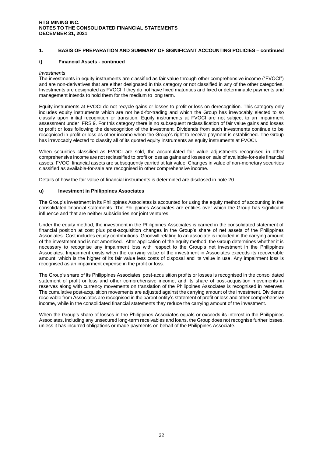## **1. BASIS OF PREPARATION AND SUMMARY OF SIGNIFICANT ACCOUNTING POLICIES – continued**

## **t) Financial Assets - continued**

## *Investments*

The investments in equity instruments are classified as fair value through other comprehensive income ("FVOCI") and are non-derivatives that are either designated in this category or not classified in any of the other categories. Investments are designated as FVOCI if they do not have fixed maturities and fixed or determinable payments and management intends to hold them for the medium to long term.

Equity instruments at FVOCI do not recycle gains or losses to profit or loss on derecognition. This category only includes equity instruments which are not held-for-trading and which the Group has irrevocably elected to so classify upon initial recognition or transition. Equity instruments at FVOCI are not subject to an impairment assessment under IFRS 9. For this category there is no subsequent reclassification of fair value gains and losses to profit or loss following the derecognition of the investment. Dividends from such investments continue to be recognised in profit or loss as other income when the Group's right to receive payment is established. The Group has irrevocably elected to classify all of its quoted equity instruments as equity instruments at FVOCI.

When securities classified as FVOCI are sold, the accumulated fair value adjustments recognised in other comprehensive income are not reclassified to profit or loss as gains and losses on sale of available-for-sale financial assets. FVOCI financial assets are subsequently carried at fair value. Changes in value of non-monetary securities classified as available-for-sale are recognised in other comprehensive income.

Details of how the fair value of financial instruments is determined are disclosed in note 20.

## **u) Investment in Philippines Associates**

The Group's investment in its Philippines Associates is accounted for using the equity method of accounting in the consolidated financial statements. The Philippines Associates are entities over which the Group has significant influence and that are neither subsidiaries nor joint ventures.

Under the equity method, the investment in the Philippines Associates is carried in the consolidated statement of financial position at cost plus post-acquisition changes in the Group's share of net assets of the Philippines Associates. Cost includes equity contributions. Goodwill relating to an associate is included in the carrying amount of the investment and is not amortised. After application of the equity method, the Group determines whether it is necessary to recognise any impairment loss with respect to the Group's net investment in the Philippines Associates. Impairment exists when the carrying value of the investment in Associates exceeds its recoverable amount, which is the higher of its fair value less costs of disposal and its value in use. Any impairment loss is recognised as an impairment expense in the profit or loss.

The Group's share of its Philippines Associates' post-acquisition profits or losses is recognised in the consolidated statement of profit or loss and other comprehensive income, and its share of post-acquisition movements in reserves along with currency movements on translation of the Philippines Associates is recognised in reserves. The cumulative post-acquisition movements are adjusted against the carrying amount of the investment. Dividends receivable from Associates are recognised in the parent entity's statement of profit or loss and other comprehensive income, while in the consolidated financial statements they reduce the carrying amount of the investment.

When the Group's share of losses in the Philippines Associates equals or exceeds its interest in the Philippines Associates, including any unsecured long-term receivables and loans, the Group does not recognise further losses, unless it has incurred obligations or made payments on behalf of the Philippines Associate.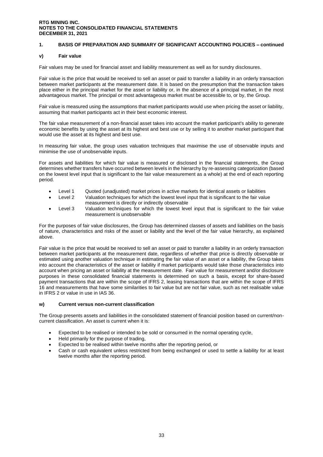## **1. BASIS OF PREPARATION AND SUMMARY OF SIGNIFICANT ACCOUNTING POLICIES – continued**

## **v) Fair value**

Fair values may be used for financial asset and liability measurement as well as for sundry disclosures.

Fair value is the price that would be received to sell an asset or paid to transfer a liability in an orderly transaction between market participants at the measurement date. It is based on the presumption that the transaction takes place either in the principal market for the asset or liability or, in the absence of a principal market, in the most advantageous market. The principal or most advantageous market must be accessible to, or by, the Group.

Fair value is measured using the assumptions that market participants would use when pricing the asset or liability, assuming that market participants act in their best economic interest.

The fair value measurement of a non-financial asset takes into account the market participant's ability to generate economic benefits by using the asset at its highest and best use or by selling it to another market participant that would use the asset at its highest and best use.

In measuring fair value, the group uses valuation techniques that maximise the use of observable inputs and minimise the use of unobservable inputs.

For assets and liabilities for which fair value is measured or disclosed in the financial statements, the Group determines whether transfers have occurred between levels in the hierarchy by re-assessing categorization (based on the lowest level input that is significant to the fair value measurement as a whole) at the end of each reporting period.

- Level 1 Quoted (unadjusted) market prices in active markets for identical assets or liabilities
- Level 2 Valuation techniques for which the lowest level input that is significant to the fair value measurement is directly or indirectly observable
- Level 3 Valuation techniques for which the lowest level input that is significant to the fair value measurement is unobservable

For the purposes of fair value disclosures, the Group has determined classes of assets and liabilities on the basis of nature, characteristics and risks of the asset or liability and the level of the fair value hierarchy, as explained above.

Fair value is the price that would be received to sell an asset or paid to transfer a liability in an orderly transaction between market participants at the measurement date, regardless of whether that price is directly observable or estimated using another valuation technique in estimating the fair value of an asset or a liability, the Group takes into account the characteristics of the asset or liability if market participants would take those characteristics into account when pricing an asset or liability at the measurement date. Fair value for measurement and/or disclosure purposes in these consolidated financial statements is determined on such a basis, except for share-based payment transactions that are within the scope of IFRS 2, leasing transactions that are within the scope of IFRS 16 and measurements that have some similarities to fair value but are not fair value, such as net realisable value in IFRS 2 or value in use in IAS 36.

## **w) Current versus non-current classification**

The Group presents assets and liabilities in the consolidated statement of financial position based on current/noncurrent classification. An asset is current when it is:

- Expected to be realised or intended to be sold or consumed in the normal operating cycle,
- Held primarily for the purpose of trading,
- Expected to be realised within twelve months after the reporting period, or
- Cash or cash equivalent unless restricted from being exchanged or used to settle a liability for at least twelve months after the reporting period.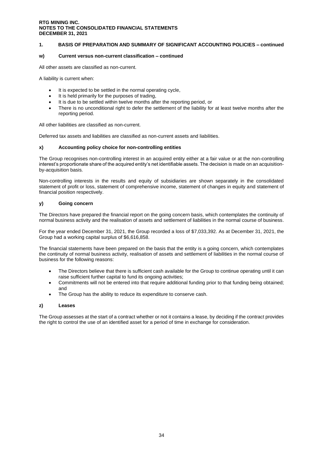## **1. BASIS OF PREPARATION AND SUMMARY OF SIGNIFICANT ACCOUNTING POLICIES – continued**

## **w) Current versus non-current classification – continued**

All other assets are classified as non-current.

A liability is current when:

- It is expected to be settled in the normal operating cycle,
- It is held primarily for the purposes of trading.
- It is due to be settled within twelve months after the reporting period, or
- There is no unconditional right to defer the settlement of the liability for at least twelve months after the reporting period.

All other liabilities are classified as non-current.

Deferred tax assets and liabilities are classified as non-current assets and liabilities.

## **x) Accounting policy choice for non-controlling entities**

The Group recognises non-controlling interest in an acquired entity either at a fair value or at the non-controlling interest's proportionate share of the acquired entity's net identifiable assets. The decision is made on an acquisitionby-acquisition basis.

Non-controlling interests in the results and equity of subsidiaries are shown separately in the consolidated statement of profit or loss, statement of comprehensive income, statement of changes in equity and statement of financial position respectively.

## **y) Going concern**

The Directors have prepared the financial report on the going concern basis, which contemplates the continuity of normal business activity and the realisation of assets and settlement of liabilities in the normal course of business.

For the year ended December 31, 2021, the Group recorded a loss of \$7,033,392. As at December 31, 2021, the Group had a working capital surplus of \$6,616,858.

The financial statements have been prepared on the basis that the entity is a going concern, which contemplates the continuity of normal business activity, realisation of assets and settlement of liabilities in the normal course of business for the following reasons:

- The Directors believe that there is sufficient cash available for the Group to continue operating until it can raise sufficient further capital to fund its ongoing activities;
- Commitments will not be entered into that require additional funding prior to that funding being obtained; and
- The Group has the ability to reduce its expenditure to conserve cash.

## **z) Leases**

The Group assesses at the start of a contract whether or not it contains a lease, by deciding if the contract provides the right to control the use of an identified asset for a period of time in exchange for consideration.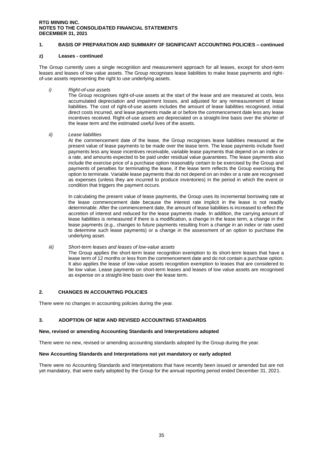## **1. BASIS OF PREPARATION AND SUMMARY OF SIGNIFICANT ACCOUNTING POLICIES – continued**

## **z) Leases - continued**

The Group currently uses a single recognition and measurement approach for all leases, except for short-term leases and leases of low value assets. The Group recognises lease liabilities to make lease payments and rightof-use assets representing the right to use underlying assets.

*i) Right-of-use assets*

The Group recognises right-of-use assets at the start of the lease and are measured at costs, less accumulated depreciation and impairment losses, and adjusted for any remeasurement of lease liabilities. The cost of right-of-use assets includes the amount of lease liabilities recognised, initial direct costs incurred, and lease payments made at or before the commencement date less any lease incentives received. Right-of-use assets are depreciated on a straight-line basis over the shorter of the lease term and the estimated useful lives of the assets.

*ii) Lease liabilities*

At the commencement date of the lease, the Group recognises lease liabilities measured at the present value of lease payments to be made over the lease term. The lease payments include fixed payments less any lease incentives receivable, variable lease payments that depend on an index or a rate, and amounts expected to be paid under residual value guarantees. The lease payments also include the exercise price of a purchase option reasonably certain to be exercised by the Group and payments of penalties for terminating the lease, if the lease term reflects the Group exercising the option to terminate. Variable lease payments that do not depend on an index or a rate are recognised as expenses (unless they are incurred to produce inventories) in the period in which the event or condition that triggers the payment occurs.

In calculating the present value of lease payments, the Group uses its incremental borrowing rate at the lease commencement date because the interest rate implicit in the lease is not readily determinable. After the commencement date, the amount of lease liabilities is increased to reflect the accretion of interest and reduced for the lease payments made. In addition, the carrying amount of lease liabilities is remeasured if there is a modification, a change in the lease term, a change in the lease payments (e.g., changes to future payments resulting from a change in an index or rate used to determine such lease payments) or a change in the assessment of an option to purchase the underlying asset.

## *iii) Short-term leases and leases of low-value assets*

The Group applies the short-term lease recognition exemption to its short-term leases that have a lease term of 12 months or less from the commencement date and do not contain a purchase option. It also applies the lease of low-value assets recognition exemption to leases that are considered to be low value. Lease payments on short-term leases and leases of low value assets are recognised as expense on a straight-line basis over the lease term.

## **2. CHANGES IN ACCOUNTING POLICIES**

There were no changes in accounting policies during the year.

## **3. ADOPTION OF NEW AND REVISED ACCOUNTING STANDARDS**

## **New, revised or amending Accounting Standards and Interpretations adopted**

There were no new, revised or amending accounting standards adopted by the Group during the year.

## **New Accounting Standards and Interpretations not yet mandatory or early adopted**

There were no Accounting Standards and Interpretations that have recently been issued or amended but are not yet mandatory, that were early adopted by the Group for the annual reporting period ended December 31, 2021.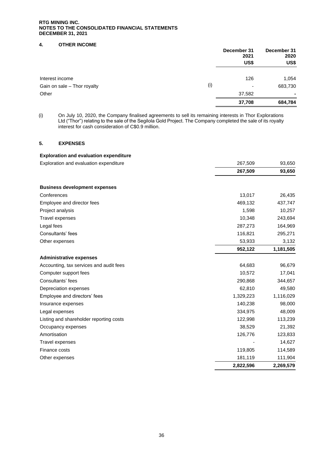## **4. OTHER INCOME**

|                             |     | December 31<br>2021<br>US\$ | December 31<br>2020<br>US\$ |
|-----------------------------|-----|-----------------------------|-----------------------------|
| Interest income             |     | 126                         | 1,054                       |
| Gain on sale - Thor royalty | (i) | ۰                           | 683,730                     |
| Other                       |     | 37,582                      |                             |
|                             |     | 37,708                      | 684,784                     |

(i) On July 10, 2020, the Company finalised agreements to sell its remaining interests in Thor Explorations Ltd ("Thor") relating to the sale of the Segilola Gold Project. The Company completed the sale of its royalty interest for cash consideration of C\$0.9 million.

## **5. EXPENSES**

## **Exploration and evaluation expenditure**

| Exploration and evaluation expenditure  | 267,509   | 93,650    |
|-----------------------------------------|-----------|-----------|
|                                         | 267,509   | 93,650    |
| <b>Business development expenses</b>    |           |           |
| Conferences                             | 13,017    | 26,435    |
| Employee and director fees              | 469,132   | 437,747   |
| Project analysis                        | 1,598     | 10,257    |
| Travel expenses                         | 10,348    | 243,694   |
| Legal fees                              | 287,273   | 164,969   |
| Consultants' fees                       | 116,821   | 295,271   |
| Other expenses                          | 53,933    | 3,132     |
|                                         | 952,122   | 1,181,505 |
| <b>Administrative expenses</b>          |           |           |
| Accounting, tax services and audit fees | 64,683    | 96,679    |
| Computer support fees                   | 10,572    | 17,041    |
| Consultants' fees                       | 290,868   | 344,657   |
| Depreciation expenses                   | 62,810    | 49,580    |
| Employee and directors' fees            | 1,329,223 | 1,116,029 |
| Insurance expenses                      | 140,238   | 98,000    |
| Legal expenses                          | 334,975   | 48,009    |
| Listing and shareholder reporting costs | 122,998   | 113,239   |
| Occupancy expenses                      | 38,529    | 21,392    |
| Amortisation                            | 126,776   | 123,833   |
| Travel expenses                         |           | 14,627    |
| Finance costs                           | 119,805   | 114,589   |
| Other expenses                          | 181,119   | 111,904   |
|                                         | 2,822,596 | 2,269,579 |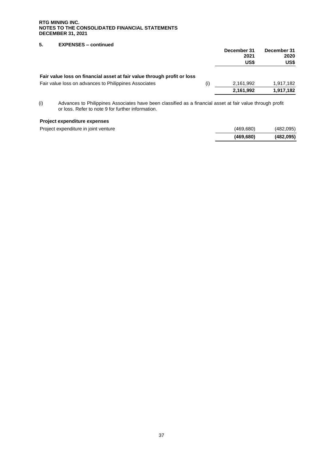## **5. EXPENSES – continued**

|                                                                                                                                  |     | December 31<br>2021<br>US\$ | December 31<br>2020<br>US\$ |
|----------------------------------------------------------------------------------------------------------------------------------|-----|-----------------------------|-----------------------------|
| Fair value loss on financial asset at fair value through profit or loss<br>Fair value loss on advances to Philippines Associates | (i) | 2,161,992                   | 1,917,182                   |
|                                                                                                                                  |     | 2,161,992                   | 1,917,182                   |

(i) Advances to Philippines Associates have been classified as a financial asset at fair value through profit or loss. Refer to note 9 for further information.

## **Project expenditure expenses**

|                                      | (469, 680) | (482,095) |
|--------------------------------------|------------|-----------|
| Project expenditure in joint venture | (469.680)  | (482,095) |

Ē.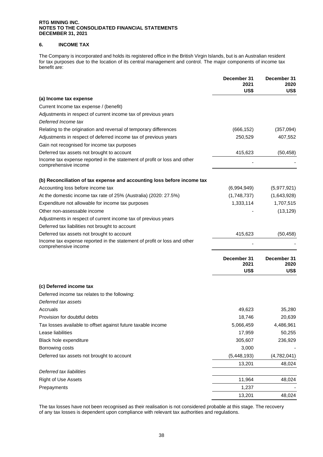## **6. INCOME TAX**

The Company is incorporated and holds its registered office in the British Virgin Islands, but is an Australian resident for tax purposes due to the location of its central management and control. The major components of income tax benefit are:

|                                                                                                  | December 31<br>2021<br>US\$ | December 31<br>2020<br>US\$ |
|--------------------------------------------------------------------------------------------------|-----------------------------|-----------------------------|
| (a) Income tax expense                                                                           |                             |                             |
| Current Income tax expense / (benefit)                                                           |                             |                             |
| Adjustments in respect of current income tax of previous years                                   |                             |                             |
| Deferred Income tax                                                                              |                             |                             |
| Relating to the origination and reversal of temporary differences                                | (666, 152)                  | (357,094)                   |
| Adjustments in respect of deferred income tax of previous years                                  | 250,529                     | 407,552                     |
| Gain not recognised for income tax purposes                                                      |                             |                             |
| Deferred tax assets not brought to account                                                       | 415,623                     | (50, 458)                   |
| Income tax expense reported in the statement of profit or loss and other<br>comprehensive income |                             |                             |
| (b) Reconciliation of tax expense and accounting loss before income tax                          |                             |                             |
| Accounting loss before income tax                                                                | (6,994,949)                 | (5,977,921)                 |
| At the domestic income tax rate of 25% (Australia) (2020: 27.5%)                                 | (1,748,737)                 | (1,643,928)                 |
| Expenditure not allowable for income tax purposes                                                | 1,333,114                   | 1,707,515                   |
| Other non-assessable income                                                                      |                             | (13, 129)                   |
| Adjustments in respect of current income tax of previous years                                   |                             |                             |
| Deferred tax liabilities not brought to account                                                  |                             |                             |
| Deferred tax assets not brought to account                                                       | 415,623                     | (50, 458)                   |
| Income tax expense reported in the statement of profit or loss and other<br>comprehensive income |                             |                             |
|                                                                                                  | December 31<br>2021<br>US\$ | December 31<br>2020<br>US\$ |
| (c) Deferred income tax                                                                          |                             |                             |
| Deferred income tax relates to the following:                                                    |                             |                             |
| Deferred tax assets                                                                              |                             |                             |
| Accruals                                                                                         | 49,623                      | 35,280                      |
| Provision for doubtful debts                                                                     | 18,746                      | 20,639                      |
| Tax losses available to offset against future taxable income                                     | 5,066,459                   | 4,486,961                   |
| Lease liabilities                                                                                | 17,959                      | 50,255                      |
| Black hole expenditure                                                                           | 305,607                     | 236,929                     |
| Borrowing costs                                                                                  | 3,000                       |                             |
| Deferred tax assets not brought to account                                                       | (5,448,193)                 | (4,782,041)                 |
|                                                                                                  | 13,201                      | 48,024                      |
| Deferred tax liabilities                                                                         |                             |                             |
| <b>Right of Use Assets</b>                                                                       | 11,964                      | 48,024                      |
| Prepayments                                                                                      | 1,237                       |                             |
|                                                                                                  | 13,201                      | 48,024                      |

The tax losses have not been recognised as their realisation is not considered probable at this stage. The recovery of any tax losses is dependent upon compliance with relevant tax authorities and regulations.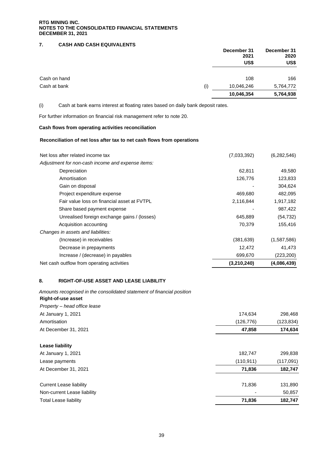## **7. CASH AND CASH EQUIVALENTS**

|              |     | December 31<br>2021 | December 31<br>2020 |
|--------------|-----|---------------------|---------------------|
|              |     | US\$                | US\$                |
| Cash on hand |     | 108                 | 166                 |
| Cash at bank | (i) | 10,046,246          | 5,764,772           |
|              |     | 10,046,354          | 5,764,938           |

(i) Cash at bank earns interest at floating rates based on daily bank deposit rates.

For further information on financial risk management refer to note 20.

## **Cash flows from operating activities reconciliation**

## **Reconciliation of net loss after tax to net cash flows from operations**

| Net loss after related income tax                 | (7,033,392) | (6,282,546) |
|---------------------------------------------------|-------------|-------------|
| Adjustment for non-cash income and expense items: |             |             |
| Depreciation                                      | 62,811      | 49,580      |
| Amortisation                                      | 126,776     | 123,833     |
| Gain on disposal                                  |             | 304,624     |
| Project expenditure expense                       | 469,680     | 482,095     |
| Fair value loss on financial asset at FVTPL       | 2,116,844   | 1,917,182   |
| Share based payment expense                       |             | 987,422     |
| Unrealised foreign exchange gains / (losses)      | 645,889     | (54, 732)   |
| Acquisition accounting                            | 70,379      | 155,416     |
| Changes in assets and liabilities:                |             |             |
| (Increase) in receivables                         | (381,639)   | (1,587,586) |
| Decrease in prepayments                           | 12,472      | 41,473      |
| Increase / (decrease) in payables                 | 699,670     | (223, 200)  |
| Net cash outflow from operating activities        | (3,210,240) | (4,086,439) |

## **8. RIGHT-OF-USE ASSET AND LEASE LIABILITY**

*Amounts recognised in the consolidated statement of financial position* **Right-of-use asset** *Property – head office lease* At January 1, 2021 298,468 2001 2012 2020 203,468 2012 2020 203,468 205,468 205,566 205,567 2020 203,468 205,56 Amortisation (123,834) At December 31, 2021 **47,858 174,634**

| Lease liability                |                          |           |
|--------------------------------|--------------------------|-----------|
| At January 1, 2021             | 182,747                  | 299,838   |
| Lease payments                 | (110, 911)               | (117,091) |
| At December 31, 2021           | 71,836                   | 182,747   |
| <b>Current Lease liability</b> | 71,836                   | 131,890   |
| Non-current Lease liability    | $\overline{\phantom{a}}$ | 50,857    |
| <b>Total Lease liability</b>   | 71,836                   | 182,747   |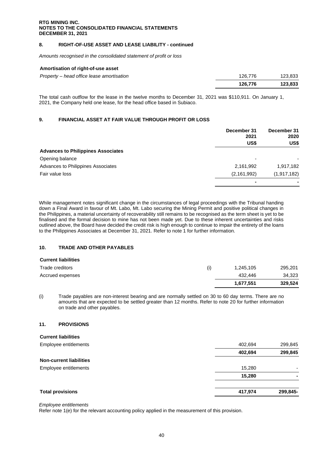## **8. RIGHT-OF-USE ASSET AND LEASE LIABILITY - continued**

*Amounts recognised in the consolidated statement of profit or loss*

#### **Amortisation of right-of-use asset**

| 123.833<br>126,776<br>Property – head office lease amortisation | 126.776 | 123.833 |
|-----------------------------------------------------------------|---------|---------|
|                                                                 |         |         |

The total cash outflow for the lease in the twelve months to December 31, 2021 was \$110,911. On January 1, 2021, the Company held one lease, for the head office based in Subiaco.

## **9. FINANCIAL ASSET AT FAIR VALUE THROUGH PROFIT OR LOSS**

|                                           | December 31<br>2021<br>US\$ | December 31<br>2020<br>US\$ |
|-------------------------------------------|-----------------------------|-----------------------------|
| <b>Advances to Philippines Associates</b> |                             |                             |
| Opening balance                           | -                           |                             |
| Advances to Philippines Associates        | 2,161,992                   | 1,917,182                   |
| Fair value loss                           | (2, 161, 992)               | (1, 917, 182)               |
|                                           |                             |                             |

While management notes significant change in the circumstances of legal proceedings with the Tribunal handing down a Final Award in favour of Mt. Labo, Mt. Labo securing the Mining Permit and positive political changes in the Philippines, a material uncertainty of recoverability still remains to be recognised as the term sheet is yet to be finalised and the formal decision to mine has not been made yet. Due to these inherent uncertainties and risks outlined above, the Board have decided the credit risk is high enough to continue to impair the entirety of the loans to the Philippines Associates at December 31, 2021. Refer to note 1 for further information.

## **10. TRADE AND OTHER PAYABLES**

## **Current liabilities**

| Trade creditors  | 1,245,105 | 295,201 |
|------------------|-----------|---------|
| Accrued expenses | 432,446   | 34,323  |
|                  | 1,677,551 | 329,524 |

(i) Trade payables are non-interest bearing and are normally settled on 30 to 60 day terms. There are no amounts that are expected to be settled greater than 12 months. Refer to note 20 for further information on trade and other payables.

## **11. PROVISIONS**

# **Current liabilities**

| <b>Total provisions</b>        | 417,974 | 299,845- |
|--------------------------------|---------|----------|
|                                | 15,280  |          |
| Employee entitlements          | 15,280  |          |
| <b>Non-current liabilities</b> |         |          |
|                                | 402.694 | 299,845  |
| Employee entitlements          | 402.694 | 299,845  |

*Employee entitlements*

Refer note 1(e) for the relevant accounting policy applied in the measurement of this provision.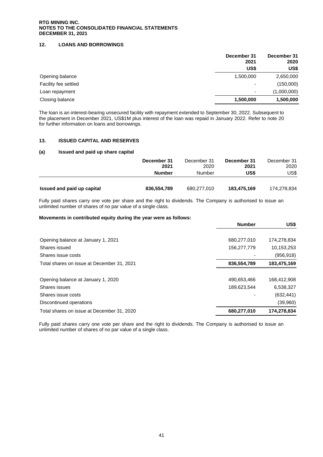## **12. LOANS AND BORROWINGS**

|                      | December 31<br>2021<br>US\$ | December 31<br>2020<br>US\$ |
|----------------------|-----------------------------|-----------------------------|
| Opening balance      | 1,500,000                   | 2,650,000                   |
| Facility fee settled | ۰                           | (150,000)                   |
| Loan repayment       | ٠                           | (1,000,000)                 |
| Closing balance      | 1,500,000                   | 1,500,000                   |

The loan is an interest-bearing unsecured facility with repayment extended to September 30, 2022. Subsequent to the placement in December 2021, US\$1M plus interest of the loan was repaid in January 2022. Refer to note 20 for further information on loans and borrowings.

## **13. ISSUED CAPITAL AND RESERVES**

## **(a) Issued and paid up share capital**

|                            | December 31<br>2021 | December 31<br>2020 | December 31<br>2021 | December 31<br>2020 |
|----------------------------|---------------------|---------------------|---------------------|---------------------|
|                            | <b>Number</b>       | Number              | US\$                | US\$                |
| Issued and paid up capital | 836,554,789         | 680.277.010         | 183,475,169         | 174,278,834         |

Fully paid shares carry one vote per share and the right to dividends. The Company is authorised to issue an unlimited number of shares of no par value of a single class.

## **Movements in contributed equity during the year were as follows:**

|                                            | <b>Number</b> | US\$        |  |
|--------------------------------------------|---------------|-------------|--|
|                                            |               |             |  |
| Opening balance at January 1, 2021         | 680,277,010   | 174,278,834 |  |
| Shares issued                              | 156,277,779   | 10,153,253  |  |
| Shares issue costs                         |               | (956,918)   |  |
| Total shares on issue at December 31, 2021 | 836,554,789   | 183,475,169 |  |
|                                            |               |             |  |
| Opening balance at January 1, 2020         | 490,653,466   | 168,412,908 |  |
| Shares issues                              | 189,623,544   | 6,538,327   |  |
| Shares issue costs                         |               | (632, 441)  |  |
| Discontinued operations                    |               | (39,960)    |  |
| Total shares on issue at December 31, 2020 | 680,277,010   | 174,278,834 |  |

Fully paid shares carry one vote per share and the right to dividends. The Company is authorised to issue an unlimited number of shares of no par value of a single class.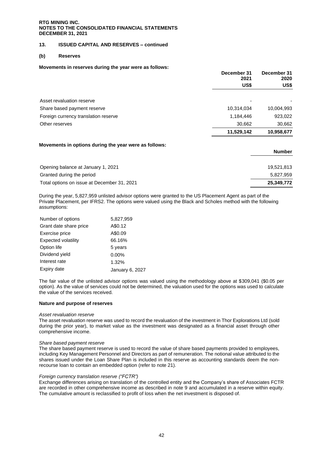## **13. ISSUED CAPITAL AND RESERVES – continued**

#### **(b) Reserves**

#### **Movements in reserves during the year were as follows:**

|                                      | December 31<br>2021 | December 31<br>2020<br>US\$ |
|--------------------------------------|---------------------|-----------------------------|
|                                      | US\$                |                             |
| Asset revaluation reserve            | ۰                   |                             |
| Share based payment reserve          | 10,314,034          | 10,004,993                  |
| Foreign currency translation reserve | 1,184,446           | 923,022                     |
| Other reserves                       | 30,662              | 30,662                      |
|                                      | 11,529,142          | 10,958,677                  |

## **Movements in options during the year were as follows:**

| Opening balance at January 1, 2021          | 19.521.813 |
|---------------------------------------------|------------|
| Granted during the period                   | 5.827.959  |
| Total options on issue at December 31, 2021 | 25.349.772 |

**Number**

During the year, 5,827,959 unlisted advisor options were granted to the US Placement Agent as part of the Private Placement, per IFRS2. The options were valued using the Black and Scholes method with the following assumptions:

| Number of options          | 5,827,959       |
|----------------------------|-----------------|
| Grant date share price     | A\$0.12         |
| Exercise price             | A\$0.09         |
| <b>Expected volatility</b> | 66.16%          |
| Option life                | 5 years         |
| Dividend yield             | 0.00%           |
| Interest rate              | 1.32%           |
| Expiry date                | January 6, 2027 |

The fair value of the unlisted advisor options was valued using the methodology above at \$309,041 (\$0.05 per option). As the value of services could not be determined, the valuation used for the options was used to calculate the value of the services received.

## **Nature and purpose of reserves**

#### *Asset revaluation reserve*

The asset revaluation reserve was used to record the revaluation of the investment in Thor Explorations Ltd (sold during the prior year), to market value as the investment was designated as a financial asset through other comprehensive income.

#### *Share based payment reserve*

The share based payment reserve is used to record the value of share based payments provided to employees, including Key Management Personnel and Directors as part of remuneration. The notional value attributed to the shares issued under the Loan Share Plan is included in this reserve as accounting standards deem the nonrecourse loan to contain an embedded option (refer to note 21).

## *Foreign currency translation reserve ("FCTR")*

Exchange differences arising on translation of the controlled entity and the Company's share of Associates FCTR are recorded in other comprehensive income as described in note 9 and accumulated in a reserve within equity. The cumulative amount is reclassified to profit of loss when the net investment is disposed of.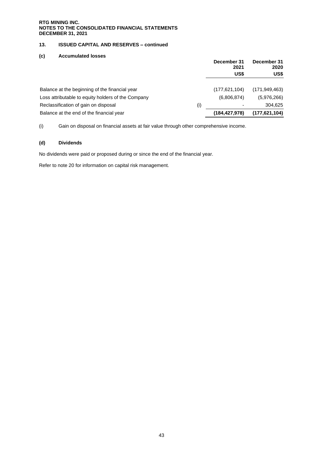## **13. ISSUED CAPITAL AND RESERVES – continued**

## **(c) Accumulated losses**

|                                                    | December 31<br>2021 | December 31<br>2020 |  |
|----------------------------------------------------|---------------------|---------------------|--|
|                                                    | US\$                | US\$                |  |
| Balance at the beginning of the financial year     | (177, 621, 104)     | (171, 949, 463)     |  |
| Loss attributable to equity holders of the Company | (6,806,874)         | (5,976,266)         |  |
| Reclassification of gain on disposal<br>(i)        |                     | 304,625             |  |
| Balance at the end of the financial year           | (184,427,978)       | (177, 621, 104)     |  |

(i) Gain on disposal on financial assets at fair value through other comprehensive income.

## **(d) Dividends**

No dividends were paid or proposed during or since the end of the financial year.

Refer to note 20 for information on capital risk management.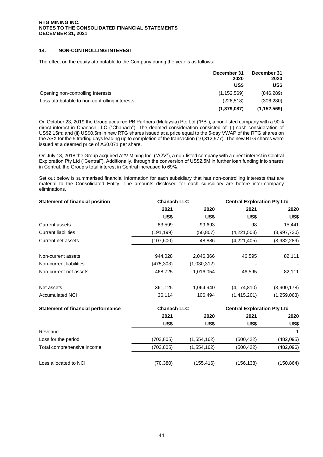## **14. NON-CONTROLLING INTEREST**

The effect on the equity attributable to the Company during the year is as follows:

|                                                | December 31<br>2020<br>US\$ | December 31<br>2020<br>US\$ |
|------------------------------------------------|-----------------------------|-----------------------------|
| Opening non-controlling interests              | (1, 152, 569)               | (846, 289)                  |
| Loss attributable to non-controlling interests | (226, 518)                  | (306, 280)                  |
|                                                | (1,379,087)                 | (1, 152, 569)               |

On October 23, 2019 the Group acquired PB Partners (Malaysia) Pte Ltd ("PB"), a non-listed company with a 90% direct interest in Chanach LLC ("Chanach"). The deemed consideration consisted of: (i) cash consideration of US\$2.15m: and (ii) US\$0.5m in new RTG shares issued at a price equal to the 5-day VWAP of the RTG shares on the ASX for the 5 trading days leading up to completion of the transaction (10,312,577). The new RTG shares were issued at a deemed price of A\$0.071 per share.

On July 18, 2018 the Group acquired A2V Mining Inc. ("A2V"), a non-listed company with a direct interest in Central Exploration Pty Ltd ("Central"). Additionally, through the conversion of US\$2.5M in further loan funding into shares in Central, the Group's total interest in Central increased to 69%.

Set out below is summarised financial information for each subsidiary that has non-controlling interests that are material to the Consolidated Entity. The amounts disclosed for each subsidiary are before inter-company eliminations.

| <b>Statement of financial position</b>    | <b>Chanach LLC</b> |             | <b>Central Exploration Pty Ltd</b> |             |
|-------------------------------------------|--------------------|-------------|------------------------------------|-------------|
|                                           | 2021               | 2020        | 2021                               | 2020        |
|                                           | US\$               | US\$        | US\$                               | US\$        |
| <b>Current assets</b>                     | 83,599             | 99,693      | 98                                 | 15,441      |
| <b>Current liabilities</b>                | (191, 199)         | (50, 807)   | (4,221,503)                        | (3,997,730) |
| Current net assets                        | (107,600)          | 48,886      | (4,221,405)                        | (3,982,289) |
| Non-current assets                        | 944,028            | 2,046,366   | 46,595                             | 82,111      |
| Non-current liabilities                   | (475, 303)         | (1,030,312) |                                    |             |
| Non-current net assets                    | 468,725            | 1,016,054   | 46,595                             | 82,111      |
| Net assets                                | 361,125            | 1,064,940   | (4, 174, 810)                      | (3,900,178) |
| <b>Accumulated NCI</b>                    | 36,114             | 106,494     | (1,415,201)                        | (1,259,063) |
| <b>Statement of financial performance</b> | <b>Chanach LLC</b> |             | <b>Central Exploration Pty Ltd</b> |             |
|                                           | 2021               | 2020        | 2021                               | 2020        |
|                                           | US\$               | US\$        | US\$                               | US\$        |
| Revenue                                   |                    |             |                                    | 1           |

| Total comprehensive income | (703, 805) | (1.554.162) | (500.422)  | (482,096) |
|----------------------------|------------|-------------|------------|-----------|
|                            |            |             |            |           |
| Loss allocated to NCI      | 70,380)    | (155, 416)  | (156, 138) | (150,864) |

Loss for the period (703,805) (1,554,162) (500,422) (482,095)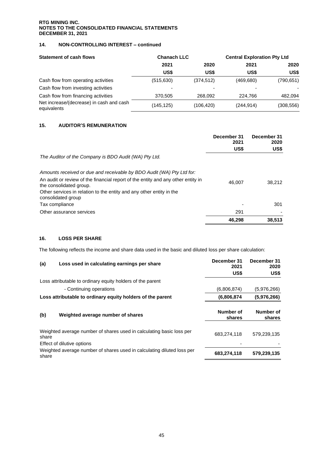## **14. NON-CONTROLLING INTEREST – continued**

| <b>Statement of cash flows</b>                          | <b>Chanach LLC</b> |            | <b>Central Exploration Pty Ltd</b> |            |
|---------------------------------------------------------|--------------------|------------|------------------------------------|------------|
|                                                         | 2021               | 2020       | 2021                               | 2020       |
|                                                         | US\$               | US\$       | US\$                               | US\$       |
| Cash flow from operating activities                     | (515, 630)         | (374, 512) | (469, 680)                         | (790,651)  |
| Cash flow from investing activities                     |                    | -          | -                                  |            |
| Cash flow from financing activities                     | 370.505            | 268.092    | 224.766                            | 482.094    |
| Net increase/(decrease) in cash and cash<br>equivalents | (145,125)          | (106,420)  | (244, 914)                         | (308, 556) |

## **15. AUDITOR'S REMUNERATION**

|                                                                                                             | December 31<br>2021<br>US\$ | December 31<br>2020<br>US\$ |
|-------------------------------------------------------------------------------------------------------------|-----------------------------|-----------------------------|
| The Auditor of the Company is BDO Audit (WA) Pty Ltd.                                                       |                             |                             |
| Amounts received or due and receivable by BDO Audit (WA) Pty Ltd for:                                       |                             |                             |
| An audit or review of the financial report of the entity and any other entity in<br>the consolidated group. | 46.007                      | 38.212                      |
| Other services in relation to the entity and any other entity in the<br>consolidated group                  |                             |                             |
| Tax compliance                                                                                              |                             | 301                         |
| Other assurance services                                                                                    | 291                         |                             |
|                                                                                                             | 46.298                      | 38.513                      |

## **16. LOSS PER SHARE**

The following reflects the income and share data used in the basic and diluted loss per share calculation:

| (a)<br>Loss used in calculating earnings per share                              | December 31<br>2021 | December 31<br>2020 |
|---------------------------------------------------------------------------------|---------------------|---------------------|
|                                                                                 | US\$                | US\$                |
| Loss attributable to ordinary equity holders of the parent                      |                     |                     |
| - Continuing operations                                                         | (6,806,874)         | (5,976,266)         |
| Loss attributable to ordinary equity holders of the parent                      | (6,806,874)         | (5,976,266)         |
| (b)<br>Weighted average number of shares                                        | Number of<br>shares | Number of<br>shares |
| Weighted average number of shares used in calculating basic loss per<br>share   | 683.274.118         | 579,239,135         |
| Effect of dilutive options                                                      |                     |                     |
| Weighted average number of shares used in calculating diluted loss per<br>share | 683,274,118         | 579,239,135         |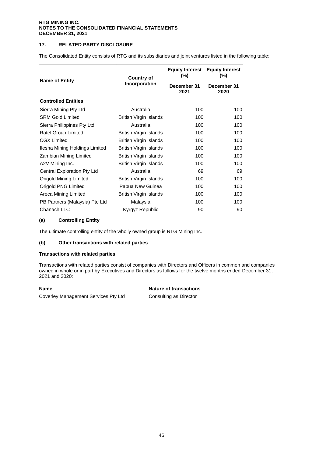## **17. RELATED PARTY DISCLOSURE**

The Consolidated Entity consists of RTG and its subsidiaries and joint ventures listed in the following table:

|                                        | <b>Country of</b>      | <b>Equity Interest</b> Equity Interest<br>$(\%)$ | $(\%)$              |  |
|----------------------------------------|------------------------|--------------------------------------------------|---------------------|--|
| <b>Name of Entity</b><br>Incorporation |                        | December 31<br>2021                              | December 31<br>2020 |  |
| <b>Controlled Entities</b>             |                        |                                                  |                     |  |
| Sierra Mining Pty Ltd                  | Australia              | 100                                              | 100                 |  |
| <b>SRM Gold Limited</b>                | British Virgin Islands | 100                                              | 100                 |  |
| Sierra Philippines Pty Ltd             | Australia              | 100                                              | 100                 |  |
| Ratel Group Limited                    | British Virgin Islands | 100                                              | 100                 |  |
| <b>CGX Limited</b>                     | British Virgin Islands | 100                                              | 100                 |  |
| Ilesha Mining Holdings Limited         | British Virgin Islands | 100                                              | 100                 |  |
| Zambian Mining Limited                 | British Virgin Islands | 100                                              | 100                 |  |
| A2V Mining Inc.                        | British Virgin Islands | 100                                              | 100                 |  |
| Central Exploration Pty Ltd            | Australia              | 69                                               | 69                  |  |
| Origold Mining Limited                 | British Virgin Islands | 100                                              | 100                 |  |
| Origold PNG Limited                    | Papua New Guinea       | 100                                              | 100                 |  |
| Areca Mining Limited                   | British Virgin Islands | 100                                              | 100                 |  |
| PB Partners (Malaysia) Pte Ltd         | Malaysia               | 100                                              | 100                 |  |
| Chanach LLC                            | Kyrgyz Republic        | 90                                               | 90                  |  |

## **(a) Controlling Entity**

The ultimate controlling entity of the wholly owned group is RTG Mining Inc.

## **(b) Other transactions with related parties**

## **Transactions with related parties**

Transactions with related parties consist of companies with Directors and Officers in common and companies owned in whole or in part by Executives and Directors as follows for the twelve months ended December 31, 2021 and 2020:

## **Name Nature of transactions**

Coverley Management Services Pty Ltd Consulting as Director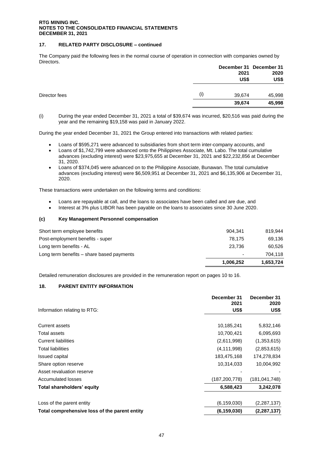## **17. RELATED PARTY DISCLOSURE – continued**

The Company paid the following fees in the normal course of operation in connection with companies owned by Directors.

|               |     | 2021   | December 31 December 31<br>2020 |  |
|---------------|-----|--------|---------------------------------|--|
|               |     | US\$   | US\$                            |  |
| Director fees | (i) | 39,674 | 45,998                          |  |
|               |     | 39,674 | 45,998                          |  |

(i) During the year ended December 31, 2021 a total of \$39,674 was incurred, \$20,516 was paid during the year and the remaining \$19,158 was paid in January 2022.

During the year ended December 31, 2021 the Group entered into transactions with related parties:

- Loans of \$595,271 were advanced to subsidiaries from short term inter-company accounts, and
- Loans of \$1,742,799 were advanced onto the Philippines Associate, Mt. Labo. The total cumulative advances (excluding interest) were \$23,975,655 at December 31, 2021 and \$22,232,856 at December 31, 2020.
- Loans of \$374,045 were advanced on to the Philippine Associate, Bunawan. The total cumulative advances (excluding interest) were \$6,509,951 at December 31, 2021 and \$6,135,906 at December 31, 2020.

These transactions were undertaken on the following terms and conditions:

- Loans are repayable at call, and the loans to associates have been called and are due, and
- Interest at 3% plus LIBOR has been payable on the loans to associates since 30 June 2020.

## **(c) Key Management Personnel compensation**

|                                           | 1,006,252 | 1,653,724 |
|-------------------------------------------|-----------|-----------|
| Long term benefits – share based payments | ٠         | 704.118   |
| Long term benefits - AL                   | 23.736    | 60.526    |
| Post-employment benefits - super          | 78.175    | 69.136    |
| Short term employee benefits              | 904.341   | 819.944   |
|                                           |           |           |

Detailed remuneration disclosures are provided in the remuneration report on pages 10 to 16.

## **18. PARENT ENTITY INFORMATION**

|                                               | December 31<br>2021 | December 31<br>2020 |  |
|-----------------------------------------------|---------------------|---------------------|--|
| Information relating to RTG:                  | US\$                | US\$                |  |
| <b>Current assets</b>                         | 10,185,241          | 5,832,146           |  |
| Total assets                                  | 10,700,421          | 6,095,693           |  |
| <b>Current liabilities</b>                    | (2,611,998)         | (1,353,615)         |  |
| <b>Total liabilities</b>                      | (4, 111, 998)       | (2,853,615)         |  |
| <b>Issued capital</b>                         | 183,475,168         | 174,278,834         |  |
| Share option reserve                          | 10,314,033          | 10,004,992          |  |
| Asset revaluation reserve                     |                     |                     |  |
| Accumulated losses                            | (187, 200, 778)     | (181, 041, 748)     |  |
| Total shareholders' equity                    | 6,588,423           | 3,242,078           |  |
| Loss of the parent entity                     | (6, 159, 030)       | (2, 287, 137)       |  |
| Total comprehensive loss of the parent entity | (6, 159, 030)       | (2, 287, 137)       |  |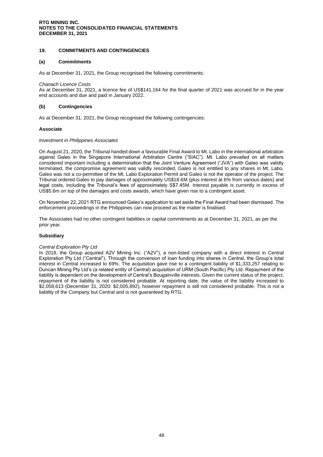## **19. COMMITMENTS AND CONTINGENCIES**

## **(a) Commitments**

As at December 31, 2021, the Group recognised the following commitments:

*Chanach Licence Costs*

As at December 31, 2021, a licence fee of US\$141,164 for the final quarter of 2021 was accrued for in the year end accounts and due and paid in January 2022.

## **(b) Contingencies**

As at December 31, 2021, the Group recognised the following contingencies:

## **Associate**

#### *Investment in Philippines Associates*

On August 21, 2020, the Tribunal handed down a favourable Final Award to Mt. Labo in the international arbitration against Galeo in the Singapore International Arbitration Centre ("SIAC"). Mt. Labo prevailed on all matters considered important including a determination that the Joint Venture Agreement ("JVA") with Galeo was validly terminated, the compromise agreement was validly rescinded, Galeo is not entitled to any shares in Mt. Labo, Galeo was not a co-permittee of the Mt. Labo Exploration Permit and Galeo is not the operator of the project. The Tribunal ordered Galeo to pay damages of approximately US\$18.6M (plus interest at 6% from various dates) and legal costs, including the Tribunal's fees of approximately S\$7.45M. Interest payable is currently in excess of US\$5.6m on top of the damages and costs awards, which have given rise to a contingent asset.

On November 22, 2021 RTG announced Galeo's application to set aside the Final Award had been dismissed. The enforcement proceedings in the Philippines can now proceed as the matter is finalised.

The Associates had no other contingent liabilities or capital commitments as at December 31, 2021, as per the prior year.

## **Subsidiary**

#### *Central Exploration Pty Ltd*

In 2018, the Group acquired A2V Mining Inc. ("A2V"), a non-listed company with a direct interest in Central Exploration Pty Ltd ("Central"). Through the conversion of loan funding into shares in Central, the Group's total interest in Central increased to 69%. The acquisition gave rise to a contingent liability of \$1,333,257 relating to Duncan Mining Pty Ltd's (a related entity of Central) acquisition of URM (South Pacific) Pty Ltd. Repayment of the liability is dependent on the development of Central's Bougainville interests. Given the current status of the project, repayment of the liability is not considered probable. At reporting date, the value of the liability increased to \$2,058,613 (December 31, 2020: \$2,005,892), however repayment is still not considered probable. This is not a liability of the Company but Central and is not guaranteed by RTG.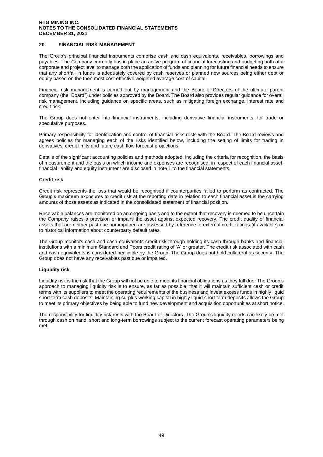## **20. FINANCIAL RISK MANAGEMENT**

The Group's principal financial instruments comprise cash and cash equivalents, receivables, borrowings and payables. The Company currently has in place an active program of financial forecasting and budgeting both at a corporate and project level to manage both the application of funds and planning for future financial needs to ensure that any shortfall in funds is adequately covered by cash reserves or planned new sources being either debt or equity based on the then most cost effective weighted average cost of capital.

Financial risk management is carried out by management and the Board of Directors of the ultimate parent company (the "Board") under policies approved by the Board. The Board also provides regular guidance for overall risk management, including guidance on specific areas, such as mitigating foreign exchange, interest rate and credit risk.

The Group does not enter into financial instruments, including derivative financial instruments, for trade or speculative purposes.

Primary responsibility for identification and control of financial risks rests with the Board. The Board reviews and agrees policies for managing each of the risks identified below, including the setting of limits for trading in derivatives, credit limits and future cash flow forecast projections.

Details of the significant accounting policies and methods adopted, including the criteria for recognition, the basis of measurement and the basis on which income and expenses are recognised, in respect of each financial asset, financial liability and equity instrument are disclosed in note 1 to the financial statements.

## **Credit risk**

Credit risk represents the loss that would be recognised if counterparties failed to perform as contracted. The Group's maximum exposures to credit risk at the reporting date in relation to each financial asset is the carrying amounts of those assets as indicated in the consolidated statement of financial position.

Receivable balances are monitored on an ongoing basis and to the extent that recovery is deemed to be uncertain the Company raises a provision or impairs the asset against expected recovery. The credit quality of financial assets that are neither past due nor impaired are assessed by reference to external credit ratings (if available) or to historical information about counterparty default rates.

The Group monitors cash and cash equivalents credit risk through holding its cash through banks and financial institutions with a minimum Standard and Poors credit rating of 'A' or greater. The credit risk associated with cash and cash equivalents is considered negligible by the Group. The Group does not hold collateral as security. The Group does not have any receivables past due or impaired.

## **Liquidity risk**

Liquidity risk is the risk that the Group will not be able to meet its financial obligations as they fall due. The Group's approach to managing liquidity risk is to ensure, as far as possible, that it will maintain sufficient cash or credit terms with its suppliers to meet the operating requirements of the business and invest excess funds in highly liquid short term cash deposits. Maintaining surplus working capital in highly liquid short term deposits allows the Group to meet its primary objectives by being able to fund new development and acquisition opportunities at short notice.

The responsibility for liquidity risk rests with the Board of Directors. The Group's liquidity needs can likely be met through cash on hand, short and long-term borrowings subject to the current forecast operating parameters being met.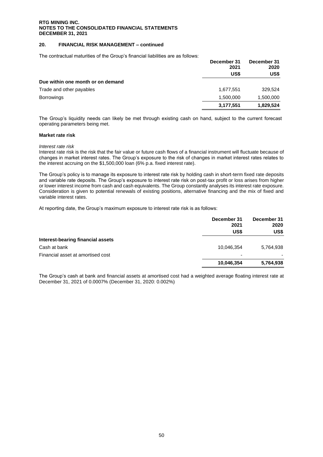## **20. FINANCIAL RISK MANAGEMENT – continued**

The contractual maturities of the Group's financial liabilities are as follows:

|                                   | December 31<br>2021 | December 31<br>2020 |  |
|-----------------------------------|---------------------|---------------------|--|
|                                   | US\$                | US\$                |  |
| Due within one month or on demand |                     |                     |  |
| Trade and other payables          | 1.677.551           | 329,524             |  |
| <b>Borrowings</b>                 | 1,500,000           | 1,500,000           |  |
|                                   | 3,177,551           | 1,829,524           |  |

The Group's liquidity needs can likely be met through existing cash on hand, subject to the current forecast operating parameters being met.

## **Market rate risk**

*Interest rate risk*

Interest rate risk is the risk that the fair value or future cash flows of a financial instrument will fluctuate because of changes in market interest rates. The Group's exposure to the risk of changes in market interest rates relates to the interest accruing on the \$1,500,000 loan (6% p.a. fixed interest rate).

The Group's policy is to manage its exposure to interest rate risk by holding cash in short-term fixed rate deposits and variable rate deposits. The Group's exposure to interest rate risk on post-tax profit or loss arises from higher or lower interest income from cash and cash equivalents. The Group constantly analyses its interest rate exposure. Consideration is given to potential renewals of existing positions, alternative financing and the mix of fixed and variable interest rates.

At reporting date, the Group's maximum exposure to interest rate risk is as follows:

|                                   | December 31<br>2021      | December 31<br>2020 |
|-----------------------------------|--------------------------|---------------------|
|                                   | US\$                     | US\$                |
| Interest-bearing financial assets |                          |                     |
| Cash at bank                      | 10,046,354               | 5.764.938           |
| Financial asset at amortised cost | $\overline{\phantom{a}}$ |                     |
|                                   | 10,046,354               | 5,764,938           |

The Group's cash at bank and financial assets at amortised cost had a weighted average floating interest rate at December 31, 2021 of 0.0007% (December 31, 2020: 0.002%)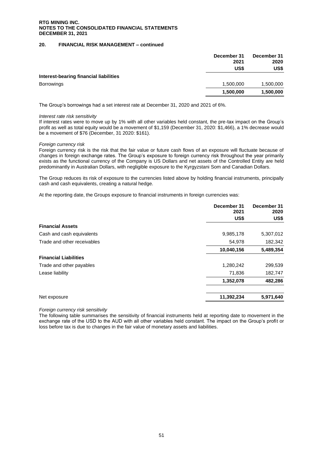## **20. FINANCIAL RISK MANAGEMENT – continued**

|                                        | December 31<br>2021 | December 31<br>2020 |  |
|----------------------------------------|---------------------|---------------------|--|
|                                        | US\$                | US\$                |  |
| Interest-bearing financial liabilities |                     |                     |  |
| <b>Borrowings</b>                      | 1,500,000           | 1,500,000           |  |
|                                        | 1,500,000           | 1,500,000           |  |

The Group's borrowings had a set interest rate at December 31, 2020 and 2021 of 6%.

## *Interest rate risk sensitivity*

If interest rates were to move up by 1% with all other variables held constant, the pre-tax impact on the Group's profit as well as total equity would be a movement of \$1,159 (December 31, 2020: \$1,466), a 1% decrease would be a movement of \$76 (December, 31 2020: \$161).

#### *Foreign currency risk*

Foreign currency risk is the risk that the fair value or future cash flows of an exposure will fluctuate because of changes in foreign exchange rates. The Group's exposure to foreign currency risk throughout the year primarily exists as the functional currency of the Company is US Dollars and net assets of the Controlled Entity are held predominantly in Australian Dollars, with negligible exposure to the Kyrgyzstani Som and Canadian Dollars.

The Group reduces its risk of exposure to the currencies listed above by holding financial instruments, principally cash and cash equivalents, creating a natural hedge.

At the reporting date, the Groups exposure to financial instruments in foreign currencies was:

| US\$       |           |
|------------|-----------|
|            | US\$      |
|            |           |
| 9,985,178  | 5,307,012 |
| 54,978     | 182,342   |
| 10,040,156 | 5,489,354 |
|            |           |
| 1,280,242  | 299,539   |
| 71,836     | 182,747   |
| 1,352,078  | 482,286   |
| 11,392,234 | 5,971,640 |
|            |           |

## *Foreign currency risk sensitivity*

The following table summarises the sensitivity of financial instruments held at reporting date to movement in the exchange rate of the USD to the AUD with all other variables held constant. The impact on the Group's profit or loss before tax is due to changes in the fair value of monetary assets and liabilities.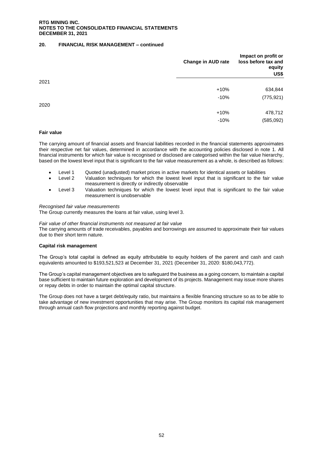## **20. FINANCIAL RISK MANAGEMENT – continued**

| <b>Change in AUD rate</b> | Impact on profit or<br>loss before tax and<br>equity<br>US\$ |
|---------------------------|--------------------------------------------------------------|
|                           |                                                              |
| $+10%$                    | 634,844                                                      |
| $-10%$                    | (775, 921)                                                   |
|                           |                                                              |
| $+10%$                    | 478,712                                                      |
| $-10%$                    | (585,092)                                                    |
|                           |                                                              |

## **Fair value**

The carrying amount of financial assets and financial liabilities recorded in the financial statements approximates their respective net fair values, determined in accordance with the accounting policies disclosed in note 1. All financial instruments for which fair value is recognised or disclosed are categorised within the fair value hierarchy, based on the lowest level input that is significant to the fair value measurement as a whole, is described as follows:

- Level 1 Quoted (unadjusted) market prices in active markets for identical assets or liabilities
- Level 2 Valuation techniques for which the lowest level input that is significant to the fair value measurement is directly or indirectly observable
- Level 3 Valuation techniques for which the lowest level input that is significant to the fair value measurement is unobservable

#### *Recognised fair value measurements*

The Group currently measures the loans at fair value, using level 3.

*Fair value of other financial instruments not measured at fair value* The carrying amounts of trade receivables, payables and borrowings are assumed to approximate their fair values due to their short term nature.

## **Capital risk management**

The Group's total capital is defined as equity attributable to equity holders of the parent and cash and cash equivalents amounted to \$193,521,523 at December 31, 2021 (December 31, 2020: \$180,043,772).

The Group's capital management objectives are to safeguard the business as a going concern, to maintain a capital base sufficient to maintain future exploration and development of its projects. Management may issue more shares or repay debts in order to maintain the optimal capital structure.

The Group does not have a target debt/equity ratio, but maintains a flexible financing structure so as to be able to take advantage of new investment opportunities that may arise. The Group monitors its capital risk management through annual cash flow projections and monthly reporting against budget.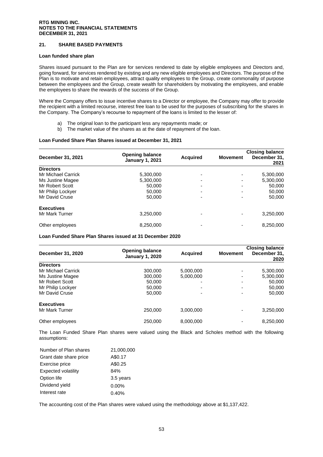## **21. SHARE BASED PAYMENTS**

#### **Loan funded share plan**

Shares issued pursuant to the Plan are for services rendered to date by eligible employees and Directors and, going forward, for services rendered by existing and any new eligible employees and Directors. The purpose of the Plan is to motivate and retain employees, attract quality employees to the Group, create commonality of purpose between the employees and the Group, create wealth for shareholders by motivating the employees, and enable the employees to share the rewards of the success of the Group.

Where the Company offers to issue incentive shares to a Director or employee, the Company may offer to provide the recipient with a limited recourse, interest free loan to be used for the purposes of subscribing for the shares in the Company. The Company's recourse to repayment of the loans is limited to the lesser of:

- a) The original loan to the participant less any repayments made; or
- b) The market value of the shares as at the date of repayment of the loan.

## **Loan Funded Share Plan Shares issued at December 31, 2021**

| December 31, 2021  | <b>Opening balance</b><br><b>January 1, 2021</b> | <b>Acquired</b>          | <b>Movement</b> | <b>Closing balance</b><br>December 31,<br>2021 |
|--------------------|--------------------------------------------------|--------------------------|-----------------|------------------------------------------------|
| <b>Directors</b>   |                                                  |                          |                 |                                                |
| Mr Michael Carrick | 5,300,000                                        | $\overline{\phantom{0}}$ |                 | 5,300,000                                      |
| Ms Justine Magee   | 5,300,000                                        | $\overline{\phantom{0}}$ |                 | 5,300,000                                      |
| Mr Robert Scott    | 50,000                                           | $\overline{\phantom{0}}$ |                 | 50,000                                         |
| Mr Philip Lockyer  | 50.000                                           | $\overline{\phantom{0}}$ |                 | 50,000                                         |
| Mr David Cruse     | 50,000                                           | $\overline{\phantom{0}}$ |                 | 50,000                                         |
| <b>Executives</b>  |                                                  |                          |                 |                                                |
| Mr Mark Turner     | 3.250.000                                        |                          |                 | 3,250,000                                      |
| Other employees    | 8,250,000                                        |                          |                 | 8,250,000                                      |

## **Loan Funded Share Plan Shares issued at 31 December 2020**

| December 31, 2020         | <b>Opening balance</b><br><b>January 1, 2020</b> | <b>Acquired</b>          | <b>Movement</b> | <b>Closing balance</b><br>December 31,<br>2020 |
|---------------------------|--------------------------------------------------|--------------------------|-----------------|------------------------------------------------|
| <b>Directors</b>          |                                                  |                          |                 |                                                |
| <b>Mr Michael Carrick</b> | 300,000                                          | 5,000,000                |                 | 5,300,000                                      |
| Ms Justine Magee          | 300,000                                          | 5,000,000                |                 | 5,300,000                                      |
| Mr Robert Scott           | 50.000                                           | $\overline{\phantom{0}}$ |                 | 50,000                                         |
| Mr Philip Lockyer         | 50,000                                           | ۰                        |                 | 50,000                                         |
| Mr David Cruse            | 50,000                                           | $\overline{\phantom{0}}$ |                 | 50,000                                         |
| <b>Executives</b>         |                                                  |                          |                 |                                                |
| Mr Mark Turner            | 250,000                                          | 3,000,000                |                 | 3,250,000                                      |
| Other employees           | 250,000                                          | 8,000,000                |                 | 8,250,000                                      |

The Loan Funded Share Plan shares were valued using the Black and Scholes method with the following assumptions:

| 21,000,000 |
|------------|
| A\$0.17    |
| A\$0.25    |
| 84%        |
| 3.5 years  |
| $0.00\%$   |
| 0.40%      |
|            |

The accounting cost of the Plan shares were valued using the methodology above at \$1,137,422.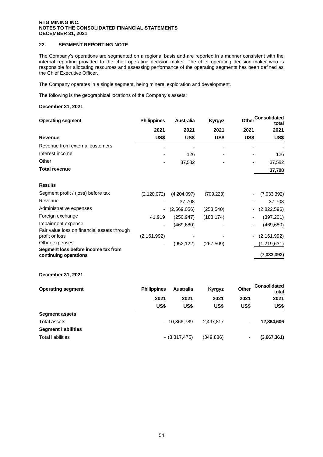## **22. SEGMENT REPORTING NOTE**

The Company's operations are segmented on a regional basis and are reported in a manner consistent with the internal reporting provided to the chief operating decision-maker. The chief operating decision-maker who is responsible for allocating resources and assessing performance of the operating segments has been defined as the Chief Executive Officer.

The Company operates in a single segment, being mineral exploration and development.

The following is the geographical locations of the Company's assets:

## **December 31, 2021**

| <b>Operating segment</b>                                      | <b>Philippines</b> | Australia   | Kyrgyz     | Other | Consolidated<br>total |
|---------------------------------------------------------------|--------------------|-------------|------------|-------|-----------------------|
|                                                               | 2021               | 2021        | 2021       | 2021  | 2021                  |
| <b>Revenue</b>                                                | US\$               | US\$        | US\$       | US\$  | US\$                  |
| Revenue from external customers                               |                    |             |            |       |                       |
| Interest income                                               |                    | 126         |            |       | 126                   |
| Other                                                         |                    | 37,582      |            |       | 37,582                |
| <b>Total revenue</b>                                          |                    |             |            |       | 37,708                |
| <b>Results</b>                                                |                    |             |            |       |                       |
| Segment profit / (loss) before tax                            | (2,120,072)        | (4,204,097) | (709, 223) |       | (7,033,392)           |
| Revenue                                                       |                    | 37,708      |            |       | 37,708                |
| Administrative expenses                                       |                    | (2,569,056) | (253, 540) |       | (2,822,596)           |
| Foreign exchange                                              | 41,919             | (250, 947)  | (188, 174) |       | (397, 201)            |
| Impairment expense                                            |                    | (469, 680)  |            |       | (469, 680)            |
| Fair value loss on financial assets through<br>profit or loss | (2, 161, 992)      |             |            |       | (2, 161, 992)         |
| Other expenses                                                |                    | (952, 122)  | (267, 509) |       | (1,219,631)           |
| Segment loss before income tax from<br>continuing operations  |                    |             |            |       | (7,033,393)           |

## **December 31, 2021**

| <b>Operating segment</b>   | <b>Philippines</b> | <b>Australia</b> | Kyrgyz     | Other                    | <b>Consolidated</b><br>total |
|----------------------------|--------------------|------------------|------------|--------------------------|------------------------------|
|                            | 2021               | 2021             | 2021       | 2021                     | 2021                         |
|                            | US\$               | US\$             | US\$       | US\$                     | US\$                         |
| <b>Segment assets</b>      |                    |                  |            |                          |                              |
| <b>Total assets</b>        |                    | $-10,366,789$    | 2.497.817  | -                        | 12.864.606                   |
| <b>Segment liabilities</b> |                    |                  |            |                          |                              |
| <b>Total liabilities</b>   |                    | $-(3,317,475)$   | (349, 886) | $\overline{\phantom{0}}$ | (3,667,361)                  |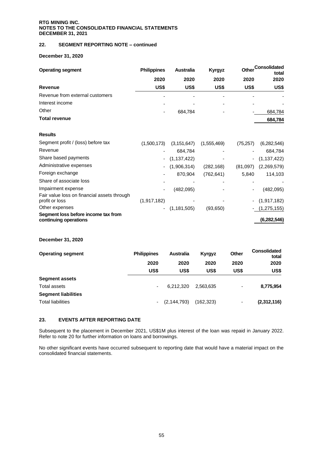## **22. SEGMENT REPORTING NOTE – continued**

## **December 31, 2020**

| <b>Operating segment</b>                                      | <b>Philippines</b> | <b>Australia</b> | Kyrgyz      |           | <b>Other</b> Consolidated<br>total |
|---------------------------------------------------------------|--------------------|------------------|-------------|-----------|------------------------------------|
|                                                               | 2020               | 2020             | 2020        | 2020      | 2020                               |
| <b>Revenue</b>                                                | US\$               | US\$             | US\$        | US\$      | US\$                               |
| Revenue from external customers                               |                    |                  |             |           |                                    |
| Interest income                                               |                    |                  |             |           |                                    |
| Other                                                         |                    | 684,784          |             |           | 684,784                            |
| <b>Total revenue</b>                                          |                    |                  |             |           | 684,784                            |
| <b>Results</b>                                                |                    |                  |             |           |                                    |
| Segment profit / (loss) before tax                            | (1,500,173)        | (3, 151, 647)    | (1,555,469) | (75, 257) | (6,282,546)                        |
| Revenue                                                       |                    | 684,784          |             |           | 684,784                            |
| Share based payments                                          |                    | (1, 137, 422)    |             | ۰.        | (1, 137, 422)                      |
| Administrative expenses                                       |                    | (1,906,314)      | (282, 168)  | (81,097)  | (2,269,579)                        |
| Foreign exchange                                              |                    | 870,904          | (762, 641)  | 5,840     | 114,103                            |
| Share of associate loss                                       |                    |                  |             |           |                                    |
| Impairment expense                                            |                    | (482,095)        |             |           | (482,095)                          |
| Fair value loss on financial assets through<br>profit or loss | (1, 917, 182)      |                  |             |           | (1, 917, 182)                      |
| Other expenses                                                |                    | (1, 181, 505)    | (93,650)    |           | (1, 275, 155)                      |
| Segment loss before income tax from<br>continuing operations  |                    |                  |             |           | (6, 282, 546)                      |

## **December 31, 2020**

| <b>Operating segment</b>   | <b>Philippines</b> | <b>Australia</b> | Kyrgyz     | Other | <b>Consolidated</b><br>total |
|----------------------------|--------------------|------------------|------------|-------|------------------------------|
|                            | 2020               | 2020             | 2020       | 2020  | 2020                         |
|                            | US\$               | US\$             | US\$       | US\$  | US\$                         |
| <b>Segment assets</b>      |                    |                  |            |       |                              |
| Total assets               | ۰                  | 6,212,320        | 2.563.635  | ٠     | 8,775,954                    |
| <b>Segment liabilities</b> |                    |                  |            |       |                              |
| <b>Total liabilities</b>   | ۰.                 | (2, 144, 793)    | (162, 323) | ٠     | (2,312,116)                  |

## **23. EVENTS AFTER REPORTING DATE**

Subsequent to the placement in December 2021, US\$1M plus interest of the loan was repaid in January 2022. Refer to note 20 for further information on loans and borrowings.

No other significant events have occurred subsequent to reporting date that would have a material impact on the consolidated financial statements.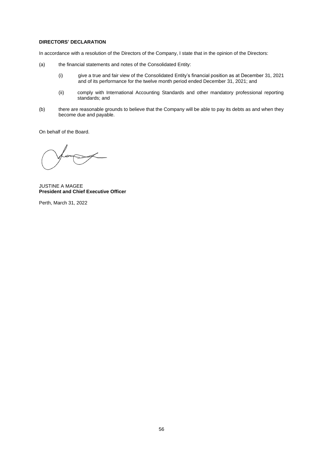## <span id="page-55-0"></span>**DIRECTORS' DECLARATION**

In accordance with a resolution of the Directors of the Company, I state that in the opinion of the Directors:

- (a) the financial statements and notes of the Consolidated Entity:
	- (i) give a true and fair view of the Consolidated Entity's financial position as at December 31, 2021 and of its performance for the twelve month period ended December 31, 2021; and
	- (ii) comply with International Accounting Standards and other mandatory professional reporting standards; and
- (b) there are reasonable grounds to believe that the Company will be able to pay its debts as and when they become due and payable.

On behalf of the Board.

JUSTINE A MAGEE **President and Chief Executive Officer**

Perth, March 31, 2022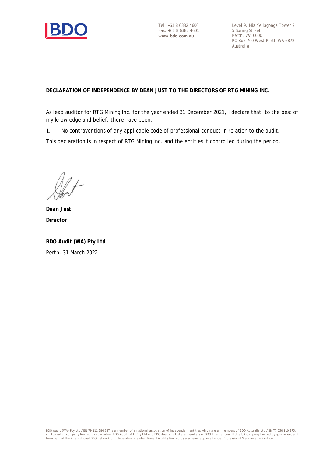

Tel: +61 8 6382 4600 Fax: +61 8 6382 4601 **www.bdo.com.au**

Level 9, Mia Yellagonga Tower 2 5 Spring Street Perth, WA 6000 PO Box 700 West Perth WA 6872 Australia

**DECLARATION OF INDEPENDENCE BY DEAN JUST TO THE DIRECTORS OF RTG MINING INC.**

As lead auditor for RTG Mining Inc. for the year ended 31 December 2021, I declare that, to the best of my knowledge and belief, there have been:

1. No contraventions of any applicable code of professional conduct in relation to the audit.

This declaration is in respect of RTG Mining Inc. and the entities it controlled during the period.

**Dean Just Director**

**BDO Audit (WA) Pty Ltd** Perth, 31 March 2022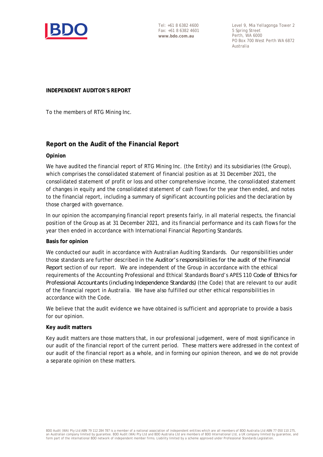

Tel: +61 8 6382 4600 Fax: +61 8 6382 4601 **www.bdo.com.au**

Level 9, Mia Yellagonga Tower 2 5 Spring Street Perth, WA 6000 PO Box 700 West Perth WA 6872 Australia

**INDEPENDENT AUDITOR'S REPORT**

To the members of RTG Mining Inc.

## **Report on the Audit of the Financial Report**

## **Opinion**

We have audited the financial report of RTG Mining Inc. (the Entity) and its subsidiaries (the Group), which comprises the consolidated statement of financial position as at 31 December 2021, the consolidated statement of profit or loss and other comprehensive income, the consolidated statement of changes in equity and the consolidated statement of cash flows for the year then ended, and notes to the financial report, including a summary of significant accounting policies and the declaration by those charged with governance.

In our opinion the accompanying financial report presents fairly, in all material respects, the financial position of the Group as at 31 December 2021, and its financial performance and its cash flows for the year then ended in accordance with International Financial Reporting Standards.

## **Basis for opinion**

We conducted our audit in accordance with Australian Auditing Standards. Our responsibilities under those standards are further described in the *Auditor's responsibilities for the audit of the Financial Report* section of our report. We are independent of the Group in accordance with the ethical requirements of the Accounting Professional and Ethical Standards Board's APES 110 *Code of Ethics for Professional Accountants (including Independence Standards)* (the Code) that are relevant to our audit of the financial report in Australia. We have also fulfilled our other ethical responsibilities in accordance with the Code.

We believe that the audit evidence we have obtained is sufficient and appropriate to provide a basis for our opinion.

## **Key audit matters**

Key audit matters are those matters that, in our professional judgement, were of most significance in our audit of the financial report of the current period. These matters were addressed in the context of our audit of the financial report as a whole, and in forming our opinion thereon, and we do not provide a separate opinion on these matters.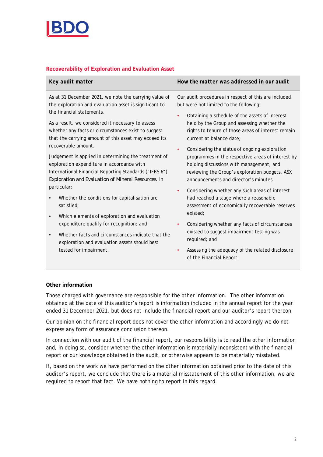

## **Recoverability of Exploration and Evaluation Asset**

| Key audit matter                                                                                                                                                  | How the matter was addressed in our audit                                                                                                   |
|-------------------------------------------------------------------------------------------------------------------------------------------------------------------|---------------------------------------------------------------------------------------------------------------------------------------------|
| As at 31 December 2021, we note the carrying value of<br>the exploration and evaluation asset is significant to                                                   | Our audit procedures in respect of this are included<br>but were not limited to the following:                                              |
| the financial statements.                                                                                                                                         | Obtaining a schedule of the assets of interest                                                                                              |
| As a result, we considered it necessary to assess<br>whether any facts or circumstances exist to suggest<br>that the carrying amount of this asset may exceed its | held by the Group and assessing whether the<br>rights to tenure of those areas of interest remain<br>current at balance date:               |
| recoverable amount.                                                                                                                                               | Considering the status of ongoing exploration<br>$\bullet$                                                                                  |
| Judgement is applied in determining the treatment of<br>exploration expenditure in accordance with                                                                | programmes in the respective areas of interest by<br>holding discussions with management, and                                               |
| International Financial Reporting Standards ("IFRS 6")                                                                                                            | reviewing the Group's exploration budgets, ASX                                                                                              |
| Exploration and Evaluation of Mineral Resources. In<br>particular:                                                                                                | announcements and director's minutes;                                                                                                       |
| Whether the conditions for capitalisation are<br>$\bullet$<br>satisfied;                                                                                          | Considering whether any such areas of interest<br>had reached a stage where a reasonable<br>assessment of economically recoverable reserves |
| Which elements of exploration and evaluation<br>$\bullet$                                                                                                         | existed;                                                                                                                                    |
| expenditure qualify for recognition; and                                                                                                                          | Considering whether any facts of circumstances                                                                                              |
| Whether facts and circumstances indicate that the<br>$\bullet$<br>exploration and evaluation assets should best                                                   | existed to suggest impairment testing was<br>required; and                                                                                  |

Assessing the adequacy of the related disclosure of the Financial Report.

## **Other information**

tested for impairment.

Those charged with governance are responsible for the other information. The other information obtained at the date of this auditor's report is information included in the annual report for the year ended 31 December 2021, but does not include the financial report and our auditor's report thereon.

Our opinion on the financial report does not cover the other information and accordingly we do not express any form of assurance conclusion thereon.

In connection with our audit of the financial report, our responsibility is to read the other information and, in doing so, consider whether the other information is materially inconsistent with the financial report or our knowledge obtained in the audit, or otherwise appears to be materially misstated.

If, based on the work we have performed on the other information obtained prior to the date of this auditor's report, we conclude that there is a material misstatement of this other information, we are required to report that fact. We have nothing to report in this regard.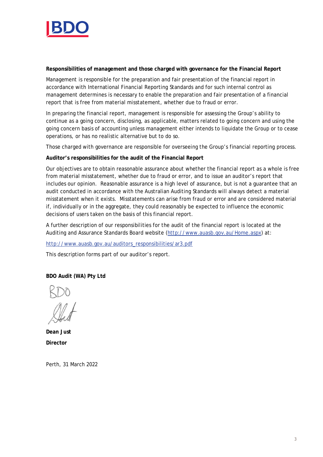

**Responsibilities of management and those charged with governance for the Financial Report**

Management is responsible for the preparation and fair presentation of the financial report in accordance with International Financial Reporting Standards and for such internal control as management determines is necessary to enable the preparation and fair presentation of a financial report that is free from material misstatement, whether due to fraud or error.

In preparing the financial report, management is responsible for assessing the Group's ability to continue as a going concern, disclosing, as applicable, matters related to going concern and using the going concern basis of accounting unless management either intends to liquidate the Group or to cease operations, or has no realistic alternative but to do so.

Those charged with governance are responsible for overseeing the Group's financial reporting process.

**Auditor's responsibilities for the audit of the Financial Report**

Our objectives are to obtain reasonable assurance about whether the financial report as a whole is free from material misstatement, whether due to fraud or error, and to issue an auditor's report that includes our opinion. Reasonable assurance is a high level of assurance, but is not a guarantee that an audit conducted in accordance with the Australian Auditing Standards will always detect a material misstatement when it exists. Misstatements can arise from fraud or error and are considered material if, individually or in the aggregate, they could reasonably be expected to influence the economic decisions of users taken on the basis of this financial report.

A further description of our responsibilities for the audit of the financial report is located at the Auditing and Assurance Standards Board website (http://www.auasb.gov.au/Home.aspx) at:

http://www.auasb.gov.au/auditors\_responsibilities/ar3.pdf

This description forms part of our auditor's report.

**BDO Audit (WA) Pty Ltd**

**Dean Just Director**

Perth, 31 March 2022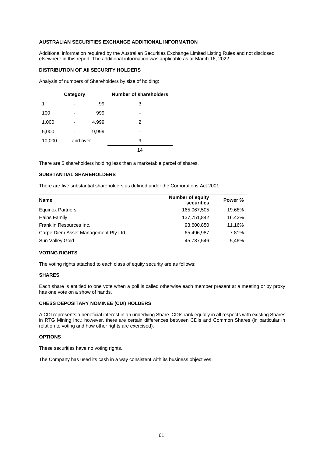## **AUSTRALIAN SECURITIES EXCHANGE ADDITIONAL INFORMATION**

Additional information required by the Australian Securities Exchange Limited Listing Rules and not disclosed elsewhere in this report. The additional information was applicable as at March 16, 2022.

## **DISTRIBUTION OF All SECURITY HOLDERS**

Analysis of numbers of Shareholders by size of holding:

|        | Category |       | Number of shareholders |
|--------|----------|-------|------------------------|
| 1      |          | 99    | 3                      |
| 100    |          | 999   | -                      |
| 1,000  |          | 4,999 | 2                      |
| 5,000  |          | 9,999 | -                      |
| 10,000 | and over |       | 9                      |
|        |          |       | 14                     |

There are 5 shareholders holding less than a marketable parcel of shares.

## **SUBSTANTIAL SHAREHOLDERS**

There are five substantial shareholders as defined under the Corporations Act 2001.

| <b>Name</b>                         | <b>Number of equity</b><br>securities | Power % |
|-------------------------------------|---------------------------------------|---------|
| <b>Equinox Partners</b>             | 165,067,505                           | 19.68%  |
| Hains Family                        | 137.751.842                           | 16.42%  |
| Franklin Resources Inc.             | 93,600,850                            | 11.16%  |
| Carpe Diem Asset Management Pty Ltd | 65,496,987                            | 7.81%   |
| Sun Valley Gold                     | 45,787,546                            | 5.46%   |

## **VOTING RIGHTS**

The voting rights attached to each class of equity security are as follows:

## **SHARES**

Each share is entitled to one vote when a poll is called otherwise each member present at a meeting or by proxy has one vote on a show of hands.

## **CHESS DEPOSITARY NOMINEE (CDI) HOLDERS**

A CDI represents a beneficial interest in an underlying Share. CDIs rank equally in all respects with existing Shares in RTG Mining Inc.; however, there are certain differences between CDIs and Common Shares (in particular in relation to voting and how other rights are exercised).

## **OPTIONS**

These securities have no voting rights.

The Company has used its cash in a way consistent with its business objectives.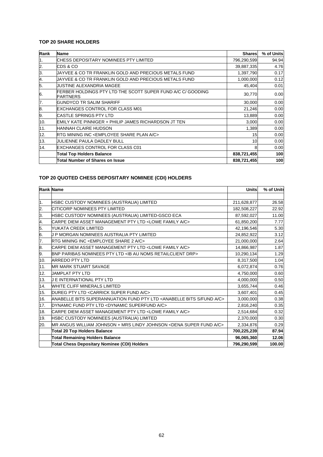## **TOP 20 SHARE HOLDERS**

| Rank | <b>Name</b>                                                                    | <b>Shares</b> | % of Units |
|------|--------------------------------------------------------------------------------|---------------|------------|
| 1.   | CHESS DEPOSITARY NOMINEES PTY LIMITED                                          | 796,290,599   | 94.94      |
| 2.   | CDS & CO                                                                       | 39,887,335    | 4.76       |
| 3.   | JAYVEE & CO TR FRANKLIN GOLD AND PRECIOUS METALS FUND                          | 1,397,790     | 0.17       |
| 4.   | JAYVEE & CO TR FRANKLIN GOLD AND PRECIOUS METALS FUND                          | 1,000,000     | 0.12       |
| 5.   | JUSTINE ALEXANDRIA MAGEE                                                       | 45,404        | 0.01       |
| 6.   | FERBER HOLDINGS PTY LTD THE SCOTT SUPER FUND A/C C/ GOODING<br><b>PARTNERS</b> | 30,770        | 0.00       |
| 7.   | GUNDYCO TR SALIM SHARIFF                                                       | 30,000        | 0.00       |
| 8.   | EXCHANGES CONTROL FOR CLASS M01                                                | 21,246        | 0.00       |
| 9.   | CASTLE SPRINGS PTY LTD                                                         | 13,889        | 0.00       |
| 10.  | EMILY KATE PINNIGER + PHILIP JAMES RICHARDSON JT TEN                           | 3,000         | 0.00       |
| 11.  | HANNAH CLAIRE HUDSON                                                           | 1,389         | 0.00       |
| 12.  | RTG MINING INC <employee a="" c="" plan="" share=""></employee>                | 15            | 0.00       |
| 13.  | JULIENNE PAULA DADLEY BULL                                                     | 10            | 0.00       |
| 14.  | EXCHANGES CONTROL FOR CLASS C01                                                | 8             | 0.00       |
|      | <b>Total Top Holders Balance</b>                                               | 838,721,455   | 100        |
|      | Total Number of Shares on Issue                                                | 838,721,455   | 100        |

## **TOP 20 QUOTED CHESS DEPOSITARY NOMINEE (CDI) HOLDERS**

|                | <b>Rank Name</b>                                                                               | <b>Units</b> | % of Units |
|----------------|------------------------------------------------------------------------------------------------|--------------|------------|
|                |                                                                                                |              |            |
| 1.             | HSBC CUSTODY NOMINEES (AUSTRALIA) LIMITED                                                      | 211,628,877  | 26.58      |
| $\overline{2}$ | CITICORP NOMINEES PTY LIMITED                                                                  | 182,508,227  | 22.92      |
| 3.             | HSBC CUSTODY NOMINEES (AUSTRALIA) LIMITED-GSCO ECA                                             | 87,592,027   | 11.00      |
| 4.             | CARPE DIEM ASSET MANAGEMENT PTY LTD <lowe a="" c="" family=""></lowe>                          | 61,850,200   | 7.77       |
| 5.             | YUKATA CREEK LIMITED                                                                           | 42,196,546   | 5.30       |
| 6.             | U P MORGAN NOMINEES AUSTRALIA PTY LIMITED                                                      | 24,852,922   | 3.12       |
| 7.             | RTG MINING INC <employee 2="" a="" c="" share=""></employee>                                   | 21,000,000   | 2.64       |
| 8.             | CARPE DIEM ASSET MANAGEMENT PTY LTD <lowe a="" c="" family=""></lowe>                          | 14,866,987   | 1.87       |
| 9.             | BNP PARIBAS NOMINEES PTY LTD <ib au="" drp="" noms="" retailclient=""></ib>                    | 10,290,134   | 1.29       |
| 10.            | <b>ARREDO PTY LTD</b>                                                                          | 8,317,500    | 1.04       |
| 11.            | <b>MR MARK STUART SAVAGE</b>                                                                   | 6,072,874    | 0.76       |
| 12.            | <b>JAMPLAT PTY LTD</b>                                                                         | 4,750,000    | 0.60       |
| 13.            | <b>U E INTERNATIONAL PTY LTD</b>                                                               | 4,000,000    | 0.50       |
| 14.            | <b>WHITE CLIFF MINERALS LIMITED</b>                                                            | 3,655,744    | 0.46       |
| 15.            | DUREG PTY LTD < CARRICK SUPER FUND A/C>                                                        | 3,607,401    | 0.45       |
| 16.            | ANABELLE BITS SUPERANNUATION FUND PTY LTD <anabelle a="" bits="" c="" fund="" s=""></anabelle> | 3,000,000    | 0.38       |
| 17.            | DYNAMIC FUND PTY LTD <dynamic a="" c="" superfund=""></dynamic>                                | 2,816,240    | 0.35       |
| 18.            | CARPE DIEM ASSET MANAGEMENT PTY LTD <lowe a="" c="" family=""></lowe>                          | 2,514,684    | 0.32       |
| 19.            | HSBC CUSTODY NOMINEES (AUSTRALIA) LIMITED                                                      | 2,370,000    | 0.30       |
| 20.            | MR ANGUS WILLIAM JOHNSON + MRS LINDY JOHNSON <dena a="" c="" fund="" super=""></dena>          | 2,334,876    | 0.29       |
|                | <b>Total 20 Top Holders Balance</b>                                                            | 700,225,239  | 87.94      |
|                | <b>Total Remaining Holders Balance</b>                                                         | 96,065,360   | 12.06      |
|                | <b>Total Chess Depositary Nominee (CDI) Holders</b>                                            | 796,290,599  | 100.00     |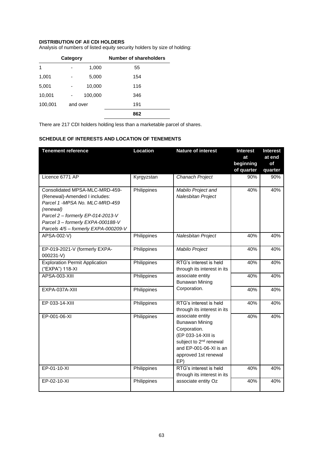## **DISTRIBUTION OF All CDI HOLDERS**

Analysis of numbers of listed equity security holders by size of holding:

|         | Category |         | <b>Number of shareholders</b> |
|---------|----------|---------|-------------------------------|
| 1       |          | 1,000   | 55                            |
| 1,001   |          | 5,000   | 154                           |
| 5,001   |          | 10,000  | 116                           |
| 10,001  |          | 100,000 | 346                           |
| 100,001 | and over |         | 191                           |
|         |          |         | 862                           |

There are 217 CDI holders holding less than a marketable parcel of shares.

## **SCHEDULE OF INTERESTS AND LOCATION OF TENEMENTS**

| <b>Tenement reference</b>             | Location    | <b>Nature of interest</b>          | <b>Interest</b> | <b>Interest</b> |
|---------------------------------------|-------------|------------------------------------|-----------------|-----------------|
|                                       |             |                                    | at              | at end          |
|                                       |             |                                    | beginning       | of              |
|                                       |             |                                    | of quarter      | quarter         |
| Licence 6771 AP                       | Kyrgyzstan  | Chanach Project                    | 90%             | 90%             |
| Consolidated MPSA-MLC-MRD-459-        | Philippines | Mabilo Project and                 | 40%             | 40%             |
| (Renewal)-Amended I includes:         |             | Nalesbitan Project                 |                 |                 |
| Parcel 1 -MPSA No. MLC-MRD-459        |             |                                    |                 |                 |
| (renewal)                             |             |                                    |                 |                 |
| Parcel 2 - formerly EP-014-2013-V     |             |                                    |                 |                 |
| Parcel 3 - formerly EXPA-000188-V     |             |                                    |                 |                 |
| Parcels 4/5 - formerly EXPA-000209-V  |             |                                    |                 |                 |
| APSA-002-V)                           | Philippines | Nalesbitan Project                 | 40%             | 40%             |
|                                       |             |                                    |                 |                 |
| EP-019-2021-V (formerly EXPA-         | Philippines | Mabilo Project                     | 40%             | 40%             |
| 000231-V)                             |             |                                    |                 |                 |
| <b>Exploration Permit Application</b> | Philippines | RTG's interest is held             | 40%             | 40%             |
| ("EXPA") 118-XI                       |             | through its interest in its        |                 |                 |
| APSA-003-XIII                         | Philippines | associate entity                   | 40%             | 40%             |
|                                       |             | <b>Bunawan Mining</b>              |                 |                 |
| EXPA-037A-XIII                        | Philippines | Corporation.                       | 40%             | 40%             |
|                                       |             |                                    |                 |                 |
| EP 033-14-XIII                        | Philippines | RTG's interest is held             | 40%             | 40%             |
|                                       |             | through its interest in its        |                 |                 |
| EP-001-06-XI                          | Philippines | associate entity                   | 40%             | 40%             |
|                                       |             | <b>Bunawan Mining</b>              |                 |                 |
|                                       |             | Corporation.                       |                 |                 |
|                                       |             | (EP 033-14-XIII is                 |                 |                 |
|                                       |             | subject to 2 <sup>nd</sup> renewal |                 |                 |
|                                       |             | and EP-001-06-XI is an             |                 |                 |
|                                       |             | approved 1st renewal               |                 |                 |
|                                       |             | EP)                                |                 |                 |
| EP-01-10-XI                           | Philippines | RTG's interest is held             | 40%             | 40%             |
|                                       |             | through its interest in its        |                 |                 |
| EP-02-10-XI                           | Philippines | associate entity Oz                | 40%             | 40%             |
|                                       |             |                                    |                 |                 |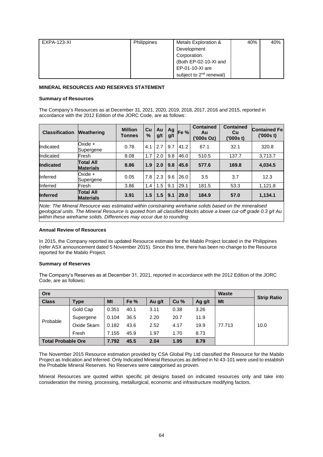| EXPA-123-XI | Philippines | Metals Exploration &                | 40% | 40% |
|-------------|-------------|-------------------------------------|-----|-----|
|             |             | Development                         |     |     |
|             |             | Corporation.                        |     |     |
|             |             | (Both EP-02-10-XI and               |     |     |
|             |             | EP-01-10-XI are                     |     |     |
|             |             | subject to 2 <sup>nd</sup> renewal) |     |     |

## **MINERAL RESOURCES AND RESERVES STATEMENT**

## **Summary of Resources**

The Company's Resources as at December 31, 2021, 2020, 2019, 2018, 2017, 2016 and 2015, reported in accordance with the 2012 Edition of the JORC Code, are as follows:

| <b>Classification</b> | <b>Weathering</b>                    | <b>Million</b><br><b>Tonnes</b> | Cu<br>% | Au<br>g/t | Ag<br>g/t | Fe % | <b>Contained</b><br>Au<br>('000s Oz) | <b>Contained</b><br>Cu<br>('000s t) | <b>Contained Fe</b><br>(000s t) |
|-----------------------|--------------------------------------|---------------------------------|---------|-----------|-----------|------|--------------------------------------|-------------------------------------|---------------------------------|
| Indicated             | Oxide $+$<br>Supergene               | 0.78                            | 4.1     | 2.7       | 9.7       | 41.2 | 67.1                                 | 32.1                                | 320.8                           |
| Indicated             | Fresh                                | 8.08                            | 1.7     | 2.0       | 9.8       | 46.0 | 510.5                                | 137.7                               | 3,713.7                         |
| <b>Indicated</b>      | <b>Total All</b><br><b>Materials</b> | 8.86                            | 1.9     | 2.0       | 9.8       | 45.6 | 577.6                                | 169.8                               | 4,034.5                         |
| <b>Inferred</b>       | Oxide +<br>Supergene                 | 0.05                            | 7.8     | 2.3       | 9.6       | 26.0 | 3.5                                  | 3.7                                 | 12.3                            |
| Inferred              | Fresh                                | 3.86                            | 1.4     | 1.5       | 9.1       | 29.1 | 181.5                                | 53.3                                | 1,121.8                         |
| <b>Inferred</b>       | <b>Total All</b><br><b>Materials</b> | 3.91                            | 1.5     | 1.5       | 9.1       | 29.0 | 184.9                                | 57.0                                | 1,134.1                         |

*Note: The Mineral Resource was estimated within constraining wireframe solids based on the mineralised geological units. The Mineral Resource is quoted from all classified blocks above a lower cut-off grade 0.3 g/t Au within these wireframe solids. Differences may occur due to rounding*

## **Annual Review of Resources**

In 2015, the Company reported its updated Resource estimate for the Mabilo Project located in the Philippines (refer ASX announcement dated 5 November 2015). Since this time, there has been no change to the Resource reported for the Mabilo Project.

## **Summary of Reserves**

The Company's Reserves as at December 31, 2021, reported in accordance with the 2012 Edition of the JORC Code, are as follows**:** 

| Ore                       |             |       |        |        |                 |        | <b>Waste</b> | <b>Strip Ratio</b> |
|---------------------------|-------------|-------|--------|--------|-----------------|--------|--------------|--------------------|
| <b>Class</b>              | Type        | Mt    | Fe $%$ | Au g/t | Cu <sub>%</sub> | Ag g/t | Mt           |                    |
| Probable                  | Gold Cap    | 0.351 | 40.1   | 3.11   | 0.38            | 3.26   | 77.713       | 10.0               |
|                           | Supergene   | 0.104 | 36.5   | 2.20   | 20.7            | 11.9   |              |                    |
|                           | Oxide Skarn | 0.182 | 43.6   | 2.52   | 4.17            | 19.9   |              |                    |
|                           | Fresh       | 7.155 | 45.9   | 1.97   | 1.70            | 8.73   |              |                    |
| <b>Total Probable Ore</b> |             | 7.792 | 45.5   | 2.04   | 1.95            | 8.79   |              |                    |

The November 2015 Resource estimation provided by CSA Global Pty Ltd classified the Resource for the Mabilo Project as Indication and Inferred. Only Indicated Mineral Resources as defined in NI 43-101 were used to establish the Probable Mineral Reserves. No Reserves were categorised as proven.

Mineral Resources are quoted within specific pit designs based on indicated resources only and take into consideration the mining, processing, metallurgical, economic and infrastructure modifying factors.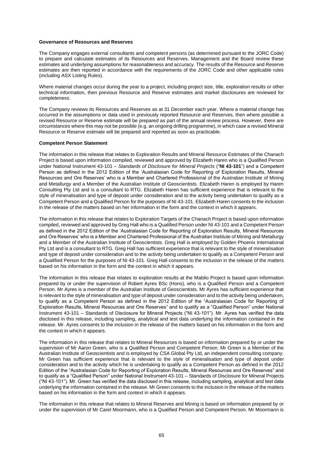## **Governance of Resources and Reserves**

The Company engages external consultants and competent persons (as determined pursuant to the JORC Code) to prepare and calculate estimates of its Resources and Reserves. Management and the Board review these estimates and underlying assumptions for reasonableness and accuracy. The results of the Resource and Reserve estimates are then reported in accordance with the requirements of the JORC Code and other applicable rules (including ASX Listing Rules).

Where material changes occur during the year to a project, including project size, title, exploration results or other technical information, then previous Resource and Reserve estimates and market disclosures are reviewed for completeness.

The Company reviews its Resources and Reserves as at 31 December each year. Where a material change has occurred in the assumptions or data used in previously reported Resource and Reserves, then where possible a revised Resource or Reserve estimate will be prepared as part of the annual review process. However, there are circumstances where this may not be possible (e.g. an ongoing drilling programme), in which case a revised Mineral Resource or Reserve estimate will be prepared and reported as soon as practicable.

## **Competent Person Statement**

The information in this release that relates to Exploration Results and Mineral Resource Estimates of the Chanach Project is based upon information compiled, reviewed and approved by Elizabeth Haren who is a Qualified Person under National Instrument 43-101 – *Standards of Disclosure for Mineral Projects* ("**NI 43-101**") and a Competent Person as defined in the 2012 Edition of the 'Australasian Code for Reporting of Exploration Results, Mineral Resources and Ore Reserves' who is a Member and Chartered Professional of the Australian Institute of Mining and Metallurgy and a Member of the Australian Institute of Geoscientists. Elizabeth Haren is employed by Haren Consulting Pty Ltd and is a consultant to RTG. Elizabeth Haren has sufficient experience that is relevant to the style of mineralisation and type of deposit under consideration and to the activity being undertaken to qualify as a Competent Person and a Qualified Person for the purposes of NI 43-101. Elizabeth Haren consents to the inclusion in the release of the matters based on her information in the form and the context in which it appears.

The information in this release that relates to Exploration Targets of the Chanach Project is based upon information compiled, reviewed and approved by Greg Hall who is a Qualified Person under NI 43-101 and a Competent Person as defined in the 2012 Edition of the 'Australasian Code for Reporting of Exploration Results, Mineral Resources and Ore Reserves' who is a Member and Chartered Professional of the Australian Institute of Mining and Metallurgy and a Member of the Australian Institute of Geoscientists. Greg Hall is employed by Golden Phoenix International Pty Ltd and is a consultant to RTG. Greg Hall has sufficient experience that is relevant to the style of mineralisation and type of deposit under consideration and to the activity being undertaken to qualify as a Competent Person and a Qualified Person for the purposes of NI 43-101. Greg Hall consents to the inclusion in the release of the matters based on his information in the form and the context in which it appears.

The information in this release that relates to exploration results at the Mabilo Project is based upon information prepared by or under the supervision of Robert Ayres BSc (Hons), who is a Qualified Person and a Competent Person. Mr Ayres is a member of the Australian Institute of Geoscientists. Mr Ayres has sufficient experience that is relevant to the style of mineralisation and type of deposit under consideration and to the activity being undertaken, to qualify as a Competent Person as defined in the 2012 Edition of the "Australasian Code for Reporting of Exploration Results, Mineral Resources and Ore Reserves" and to qualify as a "Qualified Person" under National Instrument 43-101 – Standards of Disclosure for Mineral Projects ("NI 43-101"). Mr. Ayres has verified the data disclosed in this release, including sampling, analytical and test data underlying the information contained in the release. Mr. Ayres consents to the inclusion in the release of the matters based on his information in the form and the context in which it appears.

The information in this release that relates to Mineral Resources is based on information prepared by or under the supervision of Mr Aaron Green, who is a Qualified Person and Competent Person. Mr Green is a Member of the Australian Institute of Geoscientists and is employed by CSA Global Pty Ltd, an independent consulting company. Mr Green has sufficient experience that is relevant to the style of mineralisation and type of deposit under consideration and to the activity which he is undertaking to qualify as a Competent Person as defined in the 2012 Edition of the "Australasian Code for Reporting of Exploration Results, Mineral Resources and Ore Reserves" and to qualify as a "Qualified Person" under National Instrument 43-101 – Standards of Disclosure for Mineral Projects ("NI 43-101"). Mr. Green has verified the data disclosed in this release, including sampling, analytical and test data underlying the information contained in the release. Mr Green consents to the inclusion in the release of the matters based on his information in the form and context in which it appears.

The information in this release that relates to Mineral Reserves and Mining is based on information prepared by or under the supervision of Mr Carel Moormann, who is a Qualified Person and Competent Person. Mr Moormann is